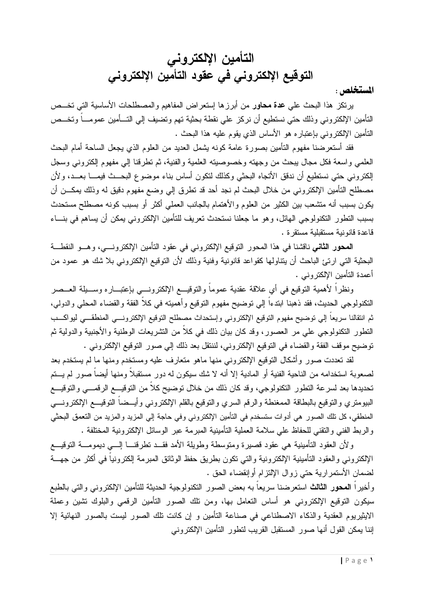# التأمين الإلكتروني التوقيع الإلكتروني في عقود التأمين الإلكترونى

المستخلص :

برنكز هذا البحث على عدة محاور من أبرزها إستعراض المفاهيم والمصطلحات الأساسية التي تخــص النأمين الإلكترونـي وذلك حتـي نستطيع أن نركز علـي نقطـة بـحثية تـهم وتضيف إلـي التـــأمين عمومــــاً وتخـــص النَّامين الإلكتروني بإعتباره هو الأساس الذي يقوم عليه هذا البحث .

فقد أستعرضنا مفهوم التأمين بصورة عامة كونه يشمل العديد من العلوم الذي يجعل الساحة أمام البحث العلمي واسعة فكل مجال يبحث من وجهته وخصوصيته العلمية والفنية، ثم تطرفنا إلى مفهوم إلكتروني وسجل الكتروني حتى نستطيع أن ندقق الأتجاه البحثي وكذلك لتكون أساس بناء موضوع البحــث فيمـــا بعــد، ولأن مصطلح التأمين الإلكتروني من خلال البحث لم نجد أحد قد تطرق إلى وضع مفهوم دقيق له وذلك بمكـــن أن يكون بسبب أنه متشعب بين الكثير من العلوم والأهتمام بالجانب العملي أكثر أو بسبب كونه مصطلح مستحدث بسبب التطور التكنولوجي الهائل، وهو ما جعلنا نستحدث تعريف للتأمين الإلكتروني يمكن أن يساهم في بنساء قاعدة قانونية مستقبلية مستقرة .

**المحور الثاني** ناقشنا في هذا المحور التوقيع الإلكتروني في عقود التأمين الإلكترونسي، وهسو النقطـــة البحثية التي ارتئ الباحث أن يتناولها كقواعد قانونية وفنية وذلك لأن التوقيع الإلكتروني بلا شك هو عمود من أعمدة التأمين الإلكتر ونبي .

ونظراً لأهمية النوقيع في أي علاقة عقدية عموماً والنوقيـــع الإلكترونــــي بإعتبـــاره وســـيلة العـــصر النكنولوجي الحديث، فقد ذهبنا ابندءًا إلى نوضيح مفهوم النوفيع وأهميته في كلاً الفقة والقضاء المحلي والدولي، ثم انتقالنا سريعاً إلى توضيح مفهوم التوقيع الإلكتروني وإستحداث مصطلح التوقيع الإلكترونـــي المنطقـــى ليواكـــب النطور النكنولوجي على مر العصور، وقد كان بيان ذلك في كلاً من النشريعات الوطنية والأجنبية والدولية ثم توضيح موقف الفقة والقضاء في التوقيع الإلكتروني، لننتقل بعد ذلك إلى صور التوقيع الإلكتروني .

لقد تعددت صور وأشكال التوقيع الإلكتروني منها ماهو متعارف عليه ومستخدم ومنها ما لم يستخدم بعد لصعوبة استخدامه من الناحية الفنية أو المادية إلا أنه لا شك سيكون له دور مستقبلاً ومنها أيضاً صور لم يـــتم تحديدها بعد لسرعة التطور التكنولوجي، وقد كان ذلك من خلال توضيح كلاً من التوقيـــع الرقمـــي والتوقيـــع البيومتري والنوقيع بالبطاقة الممغنطة والرقم السري والنوقيع بالقلم الإلكتروني وأيـــضـاً النوقيــــع الإلكترونــــي المنطقي، كل نلك الصور هي أدوات ستسخدم في التأمين الإلكتروني وفي حاجة إلى المزيد والمزيد من النعمق البحثي و الربط الفني و النقني للحفاظ على سلامة العملية التأمينية المبرمة عبر الوسائل الإلكترونية المختلفة .

ولأن العقود التأمينية هي عقود قصيرة ومتوسطة وطويلة الأمد فقــد تطرقنـــا إلـــي ديمومـــة التوقيـــع الإلكترونـي والعقود النـأمينية الإلكترونية والنـي نكون بطريق حفظ الوثائق المبرمة إلكترونياً فـي أكثر من جهـــة لضمان الأستمرارية حتى زوال الإلتزام أوإنقضاء الحق .

وأخيراً المحور الثالث استعرضنا سريعاً به بعض الصور التكنولوجية الحديثة للتأمين الإلكتروني والتي بالطبع سيكون التوقيع الإلكتروني هو أساس التعامل بها، ومن نلك الصور التأمين الرقمي والبلوك نتنبين وعملة الايثيريوم العقدية والذكاء الاصطناعي في صناعة التأمين و إن كانت تلك الصور ليست بالصور النهائية إلا إننا يمكن القول أنها صور المستقبل القريب لتطور التأمين الإلكتروني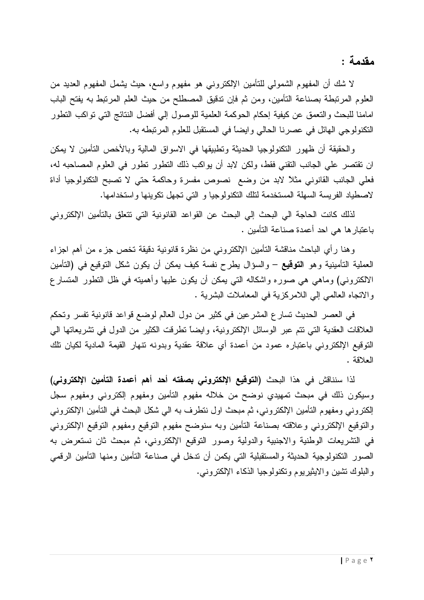مقدمة :

لا شك أن المفهوم الشمولي للتأمين الإلكتروني هو مفهوم واسع، حيث يشمل المفهوم العديد من العلوم المرتبطة بصناعة التأمين، ومن ثم فإن تدقيق المصطلح من حيث العلم المرتبط به يفتح الباب امامنا للبحث والنعمق عن كيفية إحكام الحوكمة العلمية للوصول إلى أفضل النتائج التي نواكب النطور النكنولوجي الهائل في عصرنا الحالي وايضاً في المستقبل للعلوم المرتبطه به.

والحقيقة أن ظهور التكنولوجيا الحديثة وتطبيقها في الاسواق المالية وبالأخص التأمين لا يمكن ان نقتصر علي الجانب النقني فقط، ولكن لابد أن يواكب ذلك النطور نطور في العلوم المصاحبه له، فعلي الجانب القانوني مثلاً لابد من وضع نصوص مفسرة وحاكمة حتي لا تصبح التكنولوجيا أداة لاصطياد الفريسة السهلة المستخدمة لنلك النكنولوجيا و التي نجهل نكوينها واستخدامها.

لذلك كانت الحاجة الى البحث إلى البحث عن القواعد القانونية التي تتعلق بالتأمين الإلكتروني باعتبار ها هي احد أعمدة صناعة التأمين .

وهنا رأي الباحث مناقشة التأمين الإلكتروني من نظرة قانونية دقيقة تخص جزء من أهم اجزاء العملية التأمينية وهو ا**لتوقيع** – والسؤال يطرح نفسة كيف يمكن أن يكون شكل التوقيع في (التأمين الالكترونـي) وماهي هي صـوره واشكالـه التـي يمكن أن يكون عليها وأهميته فـي ظل النطور المنسار ع والانجاه العالمي إلى اللامركزية في المعاملات البشرية .

في العصر الحديث تسار ع المشر عين في كثير من دول العالم لوضع قواعد قانونية تفسر وتحكم العلاقات العقدية التبي نتم عبر الوسائل الإلكترونية، وايضاً نطرقت الكثير من الدول في نشريعاتها البي النوفيع الإلكتروني باعتباره عمود من أعمدة أي علاقة عقدية وبدونه نتهار القيمة المادية لكيان نلك العلاقة .

لذا سنناقش في هذا البحث **(التوقيع الإلكتروني بصفته أحد أهم أعمدة التأمين الإلكتروني)** وسيكون ذلك في مبحث تمهيدي نوضح من خلاله مفهوم التأمين ومفهوم إلكتروني ومفهوم سجل الكتروني ومفهوم التأمين الإلكتروني، ثم مبحث اول نتطرف به الى شكل البحث في التأمين الإلكتروني والتوقيع الإلكتروني وعلاقته بصناعة التأمين وبه سنوضح مفهوم التوقيع ومفهوم التوقيع الإلكتروني في التشريعات الوطنية والاجنبية والدولية وصور النوقيع الإلكتروني، ثم مبحث ثان نستعرض به الصور النكنولوجية الحديثة والمستقبلية التي يكمن أن ندخل في صناعة التأمين ومنها التأمين الرقمي والبلوك نشين والايثيريوم ونكنولوجيا الذكاء الإلكتروني.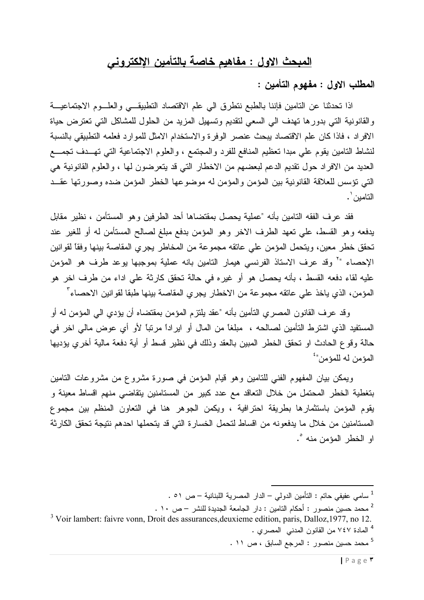# <u>المبحث الاول : مفاهيم خاصة بالتأمين الإلكتروني</u>

المطلب الاول : مفهوم التأمين :

اذا تحدثنا عن النامين فإننا بالطبع نتطرق الى علم الاقتصاد النطبيقى والعلـوم الاجتماعيــة والقانونية التي بدورها تهدف الى السعى لتقديم وتسهيل المزيد من الحلول للمشاكل التي تعترض حياة الافراد ، فاذا كان علم الاقتصاد يبحث عنصر الوفرة والاستخدام الامثل للموارد فعلمه التطبيقي بالنسبة لنشاط النامين يقوم على مبدا نعظيم المنافع للفرد والمجتمع ، والعلوم الاجتماعية التي تهــدف تجمـــع العديد من الافراد حول تقديم الدعم لبعضهم من الاخطار التي قد يتعرضون لها ، والعلوم القانونية هي التي نؤسس للعلاقة القانونية بين المؤمن والمؤمن له موضوعها الخطر المؤمن ضده وصورتها عقــد التامين ' .

فقد عرف الفقه التامين بأنه "عملية يحصل بمقتضاها أحد الطرفين وهو المستأمن ، نظير مقابل يدفعه وهو القسط، علي نعهد الطرف الاخر وهو المؤمن بدفع مبلغ لصالح المستأمن له أو للغير عند تحقق خطر معين، ويتحمل المؤمن على عاتقه مجموعة من المخاطر يجري المقاصة بينها وفقاً لقوانين الإحصاء "` وقد عرف الاستاذ الفرنسي هيمار التامين بانه عملية بموجبها يوعد طرف هو المؤمن عليه لقاء دفعه القسط ، بأنه يحصل هو أو غيره في حالة تحقق كارثة على اداء من طرف اخر هو المؤمن، الذي ياخذ على عاتقه مجموعة من الاخطار يجري المقاصة بينها طبقا لقوانين الاحصاء"

وقد عرف القانون المصري التأمين بأنه "عقد يلتزم المؤمن بمقتضاه أن يؤدي الى المؤمن له أو المستفيد الذي اشترط التأمين لصـالحه ، مبلغاً من المال أو ايراداً مرتباً لأو أي عوض مالي اخر في حالة وقوع الحادث او نحقق الخطر المبين بالعقد وذلك في نظير قسط أو أية دفعة مالية أخرى يؤديها المؤمن له للمؤمن"

ويمكن بيان المفهوم الفني للتامين وهو قيام المؤمن في صورة مشروع من مشروعات التامين بتغطية الخطر المحتمل من خلال التعاقد مع عدد كبير من المستامنين يتقاضى منهم اقساط معينة و يقوم المؤمن باستثمارها بطريقة احترافية ، ويكمن الجوهر هنا في التعاون المنظم بين مجموع المستامنين من خلال ما يدفعونه من اقساط لتحمل الخسارة التي قد يتحملها احدهم نتيجة تحقق الكارثة او الخطر المؤمن منه °.

<sup>3</sup> Voir lambert: faivre vonn, Droit des assurances, deuxieme edition, paris, Dalloz, 1977, no 12. <sup>4</sup> المادة ٧٤٧ من القانون المدني المصري .

5 محمد حسين منصور: المرجع السابق ، ص ١١.

<sup>1</sup> سامي عفيفي حاتم : التأمين الدولي – الدار المصرية اللبنانية – ص ٥١ .

<sup>&</sup>lt;sup>2</sup> محمد حسين منصور : أحكام التامين : دار الجامعة الجديدة للنشر — ص ، ١ .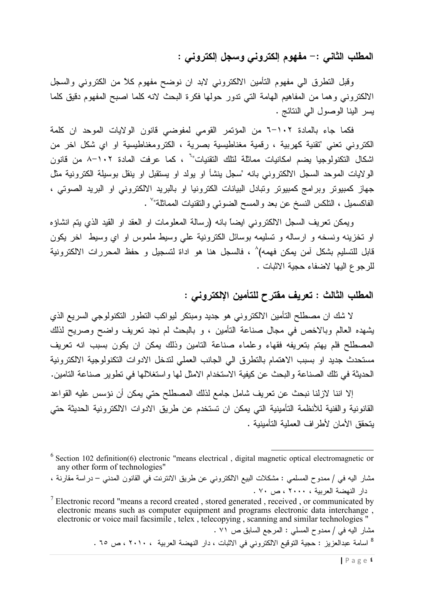## المطلب الثاني :– مفهوم إلكتروني وسجل إلكتروني :

وقبل النظرق الى مفهوم النأمين الالكتروني لابد ان نوضح مفهوم كلأ من الكتروني والسجل الالكتروني وهما من المفاهيم الهامة التي تدور حولها فكرة البحث لانه كلما اصبح المفهوم دقيق كلما يسر الينا الوصول الى النتائج .

فكما جاء بالمادة ٢-١٠١ من المؤتمر القومي لمفوضىي قانون الولايات الموحد ان كلمة الكتروني تعني "تقنية كهربية ، رقمية مغناطيسية بصرية ، الكترومغناطيسية او اي شكل اخر من اشكال التكنولوجيا يضم امكانيات مماثلة لتلك التقنيات" ، كما عرفت المادة ١٠٢–٨ من قانون الولايات الموحد السجل الالكتروني بانه "سجل ينشأ او يولد او يستقبل او ينقل بوسيلة الكترونية مثل جهاز كمبيوتر وبرامج كمبيوتر وتبادل البيانات الكترونيا او بالبريد الالكتروني او البريد الصوتي ، الفاكسميل ، التلكس النسخ عن بعد والمسح الضوئي والتقنيات المماثلة"` .

ويمكن تعريف السجل الالكتروني ايضاً بانه (رسالة المعلومات او العقد او القيد الذي يتم انشاؤه او نخزینه ونسخه و ارساله و تسلیمه بوسائل الکترونیة علی وسیط ملموس او ای وسیط اخر یکون قابل للتسليم بشكل آمن يمكن فهمه)^ ، فالسجل هنا هو اداة لتسجيل و حفظ المحررات الالكترونية للرجوع اليها لاضفاء حجية الاثبات .

#### المطلب الثالث : تعريف مقترح للتأمين الإلكتروني :

لا شك ان مصطلح التأمين الالكتروني هو جديد ومبتكر ليواكب التطور التكنولوجي السريع الذي يشهده العالم وبالاخص في مجال صناعة التأمين ، و بالبحث لم نجد تعريف واضح وصريح لذلك المصطلح فلم يهتم بتعريفه فقهاء وعلماء صناعة التامين وذلك يمكن ان يكون بسبب انه تعريف مستحدث جديد او بسبب الاهتمام بالنطرق الى الجانب العملي لندخل الادوات النكنولوجية الالكترونية الحديثة في نلك الصناعة والبحث عن كيفية الاستخدام الامثل لها واستغلالها في تطوير صناعة التامين.

إلا اننا لازلنا نبحث عن تعريف شامل جامع لذلك المصطلح حتى يمكن أن نؤسس عليه القواعد القانونية والفنية للأنظمة التأمينية التي يمكن ان تستخدم عن طريق الادوات الالكترونية الحديثة حتى بتحقق الأمان لأطر اف العملية التأمينية .

مشار اليه في / ممدوح المسلمي : المرجع السابق ص ٧١ . <sup>8</sup> اسامة عبدالعزيز : حجية التوقيع الالكتروني في الاثبات ، دار النهضة العربية ، ٢٠١٠ ، ص ٦٥ .

 $6$  Section 102 definition(6) electronic "means electrical, digital magnetic optical electromagnetic or any other form of technologies"

مشار اليه في / ممدوح المسلمي : مشكلات البيع الالكتروني عن طريق الانترنت في القانون المدني – در اسة مقارنة ، دار النهضة العربية ، ٢٠٠٠ ، ص ٧٠ .

 $\frac{7}{7}$  Electronic record "means a record created , stored generated , received , or communicated by electronic means such as computer equipment and programs electronic data interchange. electronic or voice mail facsimile, telex, telecopying, scanning and similar technologies"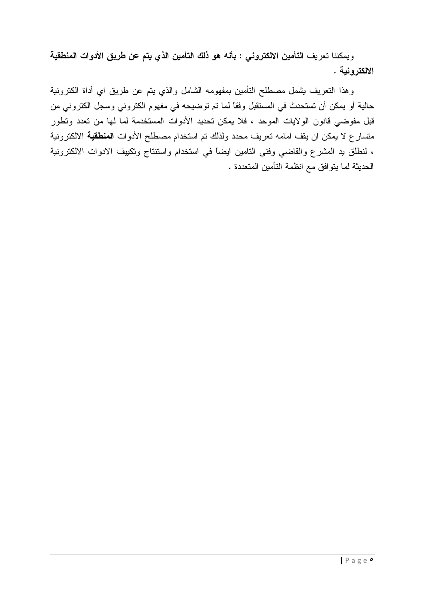ويمكننا تعريف التأمين الالكتروني : بأنه هو ذلك التأمين الذي يتم عن طريق الأدوات المنطقية الالكتر ونبة .

وهذا النعريف بشمل مصطلح النأمين بمفهومه الشامل والذي بنم عن طريق اي أداة الكترونية حالية أو يمكن أن تستحدث في المستقبل وفقاً لما تم توضيحه في مفهوم الكتروني وسجل الكتروني من قبل مفوضىي قانون الولايات الموحد ، فلا يمكن تحديد الأدوات المستخدمة لما لها من تعدد وتطور متسارع لا يمكن ان يقف امامه تعريف محدد ولذلك تم استخدام مصطلح الأدوات ا**لمنطقية** الالكترونية ، لنطلق يد المشرع والقاضي وفني النامين ايضاً في استخدام واستنتاج وتكييف الادوات الالكترونية الحديثة لما يتوافق مع انظمة التأمين المتعددة .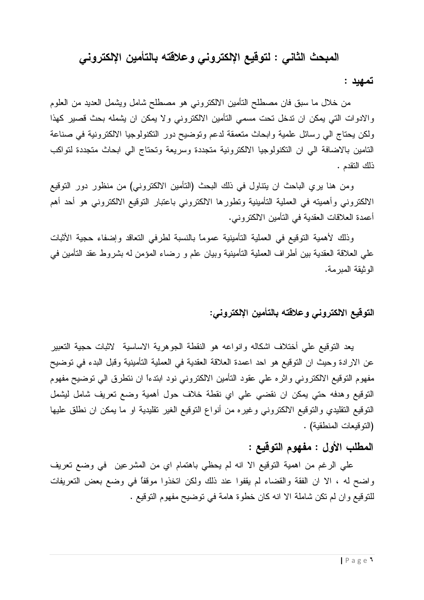# المبحث الثاني : لتوقيع الإلكتروني وعلاقته بالتأمين الإلكتروني

تمهيد :

من خلال ما سبق فان مصطلح التأمين الالكتروني هو مصطلح شامل ويشمل العديد من العلوم والادوات التي يمكن ان ندخل نحت مسمى التأمين الالكتروني ولا يمكن ان يشمله بحث قصير كهذا ولكن يحتاج الى رسائل علمية وابحاث متعمقة لدعم وتوضيح دور النكنولوجيا الالكترونية في صناعة التامين بالاضافة الى ان التكنولوجيا الالكترونية متجددة وسريعة وتحتاج الى ابحاث متجددة لتواكب ذلك النقدم .

ومن هنا يري الباحث ان يتناول في ذلك البحث (التأمين الالكتروني) من منظور دور التوقيع الالكتروني وأهميته في العملية التأمينية ونطورها الالكتروني باعتبار التوقيع الالكتروني هو أحد أهم أعمدة العلاقات العقدية في التأمين الالكتروني.

وذلك لأهمية التوقيع في العملية التأمينية عموما بالنسبة لطرفي التعاقد وإضفاء حجية الأثبات على العلاقة العقدية بين أطراف العملية التأمينية وبيان علم و رضاء المؤمن له بشروط عقد التأمين في الو ثبقة المبر مة.

#### التوقيع الالكتروني وعلاقته بالتأمين الإلكتروني:

يعد النوقيع على أختلاف اشكاله وانواعه هو النقطة الجوهرية الاساسية لاثبات حجية التعبير عن الارادة وحيث ان النوقيع هو احد اعمدة العلاقة العقدية في العملية النأمينية وقبل البدء في نوضيح مفهوم النوفيع الالكتروني واثره على عقود التأمين الالكتروني نود ابندءاً ان ننطرق الى نوضيح مفهوم النوفيع وهدفه حتى يمكن ان نقضىي على اي نقطة خلاف حول أهمية وضع نعريف شامل ليشمل النوفيع النقليدي والنوفيع الالكتروني وغيره من أنواع النوفيع الغير تقليدية او ما يمكن ان نطلق عليها (النوفيعات المنطقية) .

#### المطلب الأول : مفهوم التوقيع :

على الرغم من اهمية التوقيع الا انه لم يحظى باهتمام اي من المشرعين ً في وضع تعريف واضح له ، الا ان الفقة والقضاء لم يقفوا عند ذلك ولكن اتخذوا موقفًا في وضع بعض التعريفات للنوقيع وان لم نكن شاملة الا انه كان خطوة هامة في نوضيح مفهوم النوقيع .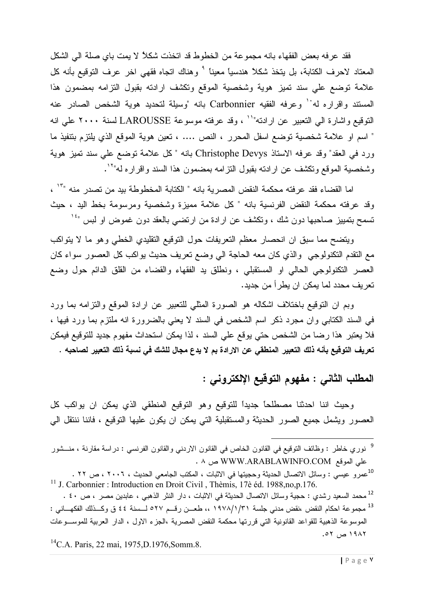فقد عرفه بعض الفقهاء بانه مجموعة من الخطوط قد اتخذت شكلاً لا يمت باي صلة الى الشكل المعتاد لاحرف الكتابة، بل يتخذ شكلاً هندسياً معيناً <sup>9</sup> وهناك اتجاه فقهي اخر عرف التوقيع بأنه كل علامة نوضع علي سند نميز هوية وشخصية الموقع ونكشف ارادنه بقبول النزامه بمضمون هذا المستند واقراره له<sup>. (</sup> وعرفه الفقيه Carbonnier بانه "وسيلة لتحديد هوية الشخص الصادر عنه النوفيع واشارة الى التعبير عن ارادنه"`` ، وقد عرفته موسوعة LAROUSSE لسنة ٢٠٠٠ على انه " اسم او علامة شخصية توضع اسفل المحرر ، النص .... ، تعين هوية الموقع الذي يلتزم بتتفيذ ما ورد في العقد" وقد عرفه الاستاذ Christophe Devys بانه " كل علامة توضع على سند تميز هوية وشخصية الموقع ونكشف عن ارادنه بقبول النزامه بمضمون هذا السند واقراره له"``.

اما القضاء فقد عرفته محكمة النقض المصرية بانه " الكتابة المخطوطة بيد من تصدر منه "`` ، وقد عرفته محكمة النقض الفرنسية بانه "كل علامة مميزة وشخصية ومرسومة بخط اليد ، حيث نسمح بنمبيز صاحبها دون شك ، وتكشف عن ارادة من ارتضـي بالعقد دون غموض او لبس "<sup>،</sup> '

ويتضح مما سبق ان انحصار معظم التعريفات حول التوقيع التقليدي الخطي وهو ما لا يتواكب مع النقدم النكنولوجي والذي كان معه الحاجة الى وضع نعريف حديث بواكب كل العصور سواء كان العصر التكنولوجي الحالي او المستقبلي ، ونطلق يد الفقهاء والقضاء من القلق الدائم حول وضع تعريف محدد لما يمكن ان يطرأ من جديد.

وبم ان التوقيع باختلاف اشكاله هو الصورة المثلي للتعبير عن ارادة الموقع والنزامه بما ورد في السند الكتابي وان مجرد ذكر اسم الشخص في السند لا يعني بالضرورة انه ملتزم بما ورد فيها ، فلا يعتبر هذا رضا من الشخص حتى يوقع على السند ، لذا يمكن استحداث مفهوم جديد للتوقيع فيمكن تعريف التوقيع بأنه ذلك التعبير المنطقي عن الارادة بم لا يدع مجال للشك في نسبة ذلك التعبير لصاحبه .

## المطلب الثاني : مفهوم التوقيع الإلكتروني :

وحيث اننا احدثنا مصطلحاً جديداً للتوقيع وهو التوقيع المنطقى الذي يمكن ان يواكب كل العصور ويشمل جميع الصور الحديثة والمستقبلية التي يمكن ان يكون عليها التوقيع ، فاننا ننتقل البي

<sup>9</sup> نوري خاطر : وظائف التوقيع في القانون الخاص في القانون الاردني والقانون الفرنسي : دراسة مقارنة ، منـــشور على الموقع WWW.ARABLAWINFO.COM ص ٨ .

<sup>10</sup>عمرو عيسى : وسائل الاتصال الحديثة وحجيتها في الاثبات ، المكتب الجامعي الحديث ، ٢٠٠٦ ، ص ٢٢ . <sup>11</sup> J. Carbonnier : Introduction en Droit Civil, Thèmis, 17è éd. 1988,no,p.176. <sup>12</sup> محمد السعيد رشدي : حجية وسائل الاتصال الحديثة في الاثبات ، دار النثر الذهبي ، عابدين مصر ، ص ٤٠ .

<sup>13</sup> مجموعة احكام النقض منقض مدنى جلسة ١٩٧٨/١/٣١ ،، طعــن رقــم ٥٢٧ لــسنة ٤٤ ق وكــذلك الفكهـــاني : الموسوعة الذهبية للقواعد القانونية التي قررتها محكمة النقض المصرية ،الجزء الاول ، الدار العربية للموسـوعات ١٩٨٢ ص ٥٢.

<sup>14</sup>C.A. Paris, 22 mai, 1975, D.1976, Somm.8.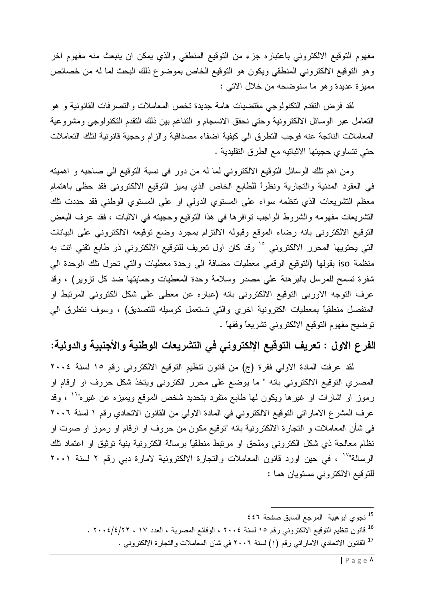مفهوم التوقيع الالكتروني باعتباره جزء من التوقيع المنطقي والذي يمكن ان ينبعث منه مفهوم اخر وهو النوقيع الالكتروني المنطقي ويكون هو النوقيع الخاص بموضوع ذلك البحث لما له من خصائص مميزة عديدة وهو ما سنوضحه من خلال الاتبي :

لقد فرض النقدم النكنولوجي مقتضيات هامة جديدة نخص المعاملات والتصرفات القانونية و هو النعامل عبر الوسائل الالكترونية وحتى نحقق الانسجام و النتاغم بين ذلك النقدم النكنولوجي ومشروعية المعاملات الناتجة عنه فوجب النطرق الى كيفية اضفاء مصداقية والزام وحجية قانونية لنلك النعاملات حتى نتساوي حجيتها الاثباتيه مع الطرق التقليدية .

ومن اهم نلك الوسائل النوقيع الالكتروني لما له من دور في نسبة النوقيع الي صاحبه و اهميته في العقود المدنية والتجارية ونظراً للطابع الخاص الذي يميز التوقيع الالكتروني فقد حظى باهتمام معظم النشريعات الذي نتظمه سواء علي المستوي الدولي او علي المستوي الوطني فقد حددت نلك التشريعات مفهومه والشروط الواجب نوافرها في هذا النوقيع وحجيته في الاثبات ، فقد عرف البعض النوفيع الالكتروني بانه رضاء الموقع وقبوله الالتزام بمجرد وضع توقيعه الالكتروني على البيانات التي يحتويها المحرر الالكتروني °′ وقد كان اول تعريف للتوقيع الالكتروني ذو طابع تقني اتت به منظمة iso بقولها (النوقيع الرقمي معطيات مضافة الى وحدة معطيات والتي تحول تلك الوحدة الى شفرة تسمح للمرسل بالبرهنة على مصدر وسلامة وحدة المعطيات وحمايتها ضد كل نزوير) ، وقد عرف التوجه الاوربي التوقيع الالكتروني بانه (عباره عن معطي علي شكل الكتروني المرتبط او المنفصل منطقيًا بمعطيات الكترونية اخرى والتي تستعمل كوسيله للتصديق) ، وسوف نتطرق الى نوضيح مفهوم النوفيع الالكتروني تشريعًا وفقها .

## الفرع الاول : تعريف التوقيع الإلكتروني في التشريعات الوطنية والأجنبية والدولية:

لقد عرفت المادة الاولى فقرة (ج) من قانون نتظيم التوقيع الالكتروني رقم ١٥ لسنة ٢٠٠٤ المصري التوقيع الالكتروني بانه " ما يوضع على محرر الكتروني ويتخذ شكل حروف او ارقام او رموز او اشارات او غیرها ویکون لها طابع متفرد بتحدید شخص الموقع ویمیزه عن غیره"`` ، وقد عرف المشرع الاماراتي النوقيع الالكتروني في المادة الاولى من القانون الاتحادي رقم ١ لسنة ٢٠٠٦ في شأن المعاملات و النجارة الالكترونية بانه "توقيع مكون من حروف او ارقام او رموز او صوت او نظام معالجة ذي شكل الكتروني وملحق او مرتبط منطقياً برسالة الكترونية بنية توثيق او اعتماد نلك الرسالة"`` ، في حين اورد قانون المعاملات والنجارة الالكترونية لامارة دبي رقم ٢ لسنة ٢٠٠١ للنوقيع الالكتروني مستويان هما :

<sup>&</sup>lt;sup>15</sup> نجوي ابوهيبة المرجع السابق صفحة ٤٤٦

<sup>&</sup>lt;sup>16</sup> قانون نتظيم التوقيع الالكتروني رقم ١٥ لسنة ٢٠٠٤ ، الوقائع المصرية ، العدد ١٧ ، ٢٠٠٤/٤/٢٠ .

<sup>&</sup>lt;sup>17</sup> القانون الاتحادي الاماراتي رقم (١) لسنة ٢٠٠٦ في شان المعاملات والتجارة الالكتروني .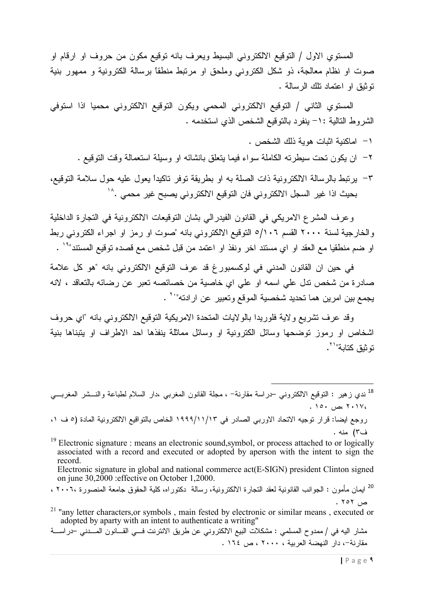المستوى الاول / التوقيع الالكتروني البسيط ويعرف بانه توقيع مكون من حروف او ارقام او صوت او نظام معالجة، ذو شكل الكتروني وملحق او مرتبط منطقًا برسالة الكترونية و ممهور بنية نوثيق او اعتماد تلك الرسالة .

المستوي الثاني / التوقيع الالكتروني المحمى ويكون التوقيع الالكتروني محميا اذا استوفى الشروط النالية :١- ينفرد بالنوقيع الشخص الذي استخدمه .

- ١ اماكنبة اثبات هوية ذلك الشخص .
- ٢− ان يكون نحت سيطرنه الكاملة سواء فيما ينعلق بانشائه او وسيلة استعمالة وقت النوقيع .
- ٣- يرتبط بالرسالة الالكترونية ذات الصلة به او بطريقة توفر تاكيداً يعول عليه حول سلامة التوقيع، بحيث اذا غير السجل الالكتروني فان التوقيع الالكتروني يصبح غير محمى .^`

وعرف المشرع الامريكي في القانون الفيدرالي بشان النوقيعات الالكترونية في النجارة الداخلية والخارجية لسنة ٢٠٠٠ القسم ٥/١٠٦ التوقيع الالكتروني بانه "صوت او رمز او اجراء الكتروني ربط او ضم منطقيا مع العقد او اي مستند اخر ونفذ او اعتمد من قبل شخص مع قصده توقيع المستند"<sup>۱۹</sup> .

في حين ان القانون المدنى في لوكسمبورغ قد عرف التوقيع الالكتروني بانه "هو كل علامة صادرة من شخص نذل على اسمه او على اي خاصية من خصائصه نعبر عن رضائه بالتعاقد ، لانه يجمع بين امرين هما تحديد شخصية الموقع وتعبير عن ارادته"`` .

وقد عرف تشريع ولاية فلوريدا بالولايات المتحدة الامريكية التوقيع الالكتروني بانه "اي حروف اشخاص او رموز نوضحها وسائل الكترونية او وسائل مماثلة بنفذها احد الاطراف او بتبناها بنية نَّه ثَبَّقَ كَتَابَةٌ" أ

<sup>18</sup>ندى زهير : التوقيع الالكترونـى حـراسة مقارنة<sup>\_</sup> ، مجلة القانون المغربـي ،دار السلام لطباعة والنـــشر المغربـــ*ي* ، ۲۰۱۷ ،ص ۱۰۰. روجع ايضا: قرار توجيه الاتحاد الاوربي الصادر في ١٩٩٩/١١/١٣ الخاص بالتوافيع الالكترونية المادة (٥ ف ١، ف٣) منه .

 $^{19}$  Electronic signature : means an electronic sound, symbol, or process attached to or logically associated with a record and executed or adopted by aperson with the intent to sign the record

Electronic signature in global and national commerce act(E-SIGN) president Clinton signed on june 30,2000 : effective on October 1,2000.

<sup>20</sup> ايمان مأمون : الجوانب القانونية لعقد التجارة الالكترونية، رسالة دكتوراه، كلية الحقوق جامعة المنصورة ،٢٠٠٦ ،  $. 707$  من

<sup>21</sup> "any letter characters, or symbols, main fested by electronic or similar means, executed or adopted by aparty with an intent to authenticate a writing"

مشار اليه في / ممدوح المسلمي : مشكلات البيع الالكتروني عن طريق الانترنت فـــي القـــانون المــــدني –دراســــة مقارنة-، دار النهضة العربية ، ٢٠٠٠ ، ص ١٦٤ .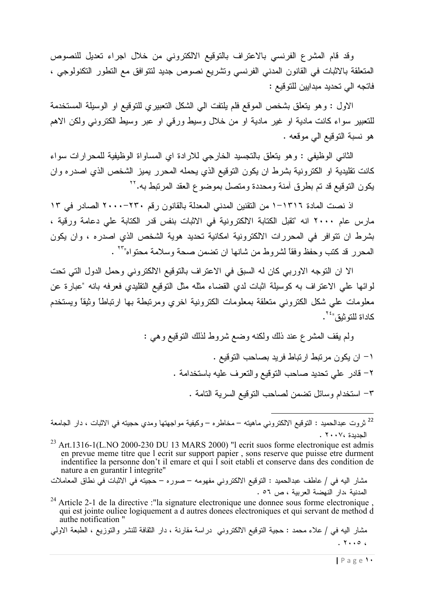وقد قام المشرع الفرنسي بالاعتراف بالتوقيع الالكتروني من خلال اجراء تعديل للنصوص المتعلقة بالاثبات في القانون المدني الفرنسي وتشريع نصوص جديد لنتوافق مع النطور النكنولوجي ، فاتجه الى تحديد مبدايين للتوقيع :

الاول : وهو يتعلَّق بشخص الموقع فلم يلتفت الى الشكل التعبيري للتوقيع او الوسيلة المستخدمة للتعبير سواء كانت مادية او غير مادية او من خلال وسيط ورقى او عبر وسيط الكترونى ولكن الاهم هو نسبة التوقيع الى موقعه .

الثاني الوظيفي : وهو يتعلق بالتجسيد الخارجي للارادة اي المساواة الوظيفية للمحرارات سواء كانت نقليدية او الكترونية بشرط ان يكون التوقيع الذي يحمله المحرر يميز الشخص الذي اصدره وان يكون التوقيع قد تم بطرق أمنة ومحددة ومتصل بموضوع العقد المرتبط به. ``

اذ نصت المادة ١٣١٦–١ من التقنين المدنى المعدلة بالقانون ر قم ٢٣٠–٢٠٠٠ الصادر ً في ١٣ مارس عام ٢٠٠٠ انه "تقبل الكتابة الالكترونية في الاثبات بنفس قدر الكتابة على دعامة ورقية ، بشرط ان نتوافر في المحررات الالكترونية امكانية تحديد هوية الشخص الذي اصدره ، وإن يكون المحرر قد كتب وحفظ وفقا لشروط من شانها ان نضمن صحة وسلامة محتواه" آ

الا ان النوجه الاوربي كان له السبق في الاعتراف بالنوقيع الالكتروني وحمل الدول التي تحت لوائها علي الاعتراف به كوسيلة اثبات لدي القضاء مثله مثل النوقيع النقليدي فعرفه بانه "عبارة عن معلومات على شكل الكتروني متعلقة بمعلومات الكترونية اخري ومرتبطة بها ارتباطا وثيقا ويستخدم كاداة للتوثيق" ``

> ولم يقف المشرع عند ذلك ولكنه وضع شروط لذلك التوقيع وهي : ١– ان يكون مر تبط ار تباط فر يد بصاحب التوقيع . ٢– قادر على تحديد صاحب التوقيع والتعرف عليه باستخدامة . ٣- استخدام وسائل نضمن لصاحب النوفيع السرية النامة .

مشار اليه في / علاء محمد : حجية التوقيع الالكتروني دراسة مقارنة ، دار الثقافة للنشر والتوزيع ، الطبعة الاولى  $. 7.006$ 

<sup>&</sup>lt;sup>22</sup> ثروت عبدالحميد : النوقيع الالكتروني ماهيته – مخاطره – وكيفية مواجهتها ومدي حجيته في الاثبات ، دار الجامعة الحديدة ٢٠٠٧٠.

 $^{23}$  Art.1316-1(L.NO 2000-230 DU 13 MARS 2000) "I ecrit suos forme electronique est admis en prevue meme titre que l ecrit sur support papier, sons reserve que puisse etre durment indentifiee la personne don't il emare et qui I soit etabli et conserve dans des condition de nature a en gurantir l integrite"

مشار اليه في / عاطف عبدالحميد : التوقيع الالكتروني مفهومه – صوره – حجيته في الاثبات في نطاق المعاملات المدنية ،دار النهضة العربية ، ص ٥٦ .

 $^{24}$  Article 2-1 de la directive :"la signature electronique une donnee sous forme electronique qui est jointe ouliee logiquement a d autres donees electroniques et qui servant de method d authe notification"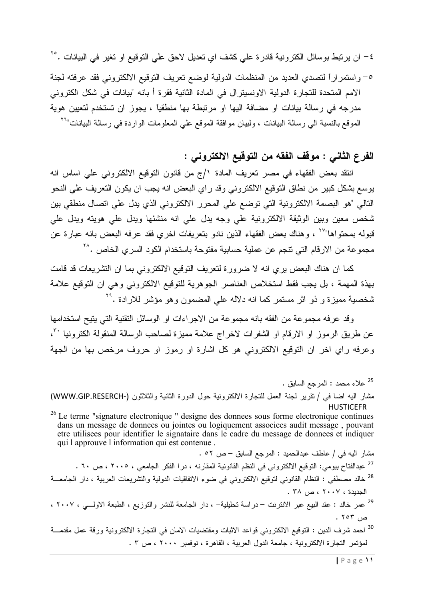٤– ان يرتبط بوسائل الكترونية قادرة على كشف اي تعديل لاحق على التوقيع او تغير في البيانات .°٬

٥– واستمراراً لتصدى العديد من المنظمات الدولية لوضع تعريف التوقيع الالكتروني فقد عرفته لجنة الامم المتحدة للتجارة الدولية الاونسيترال في المادة الثانية فقرة أ بانه "بيانات في شكل الكتروني مدرجه في رسالة بيانات او مضافة اليها او مرتبطة بها منطقياً ، يجوز ان تستخدم لتعيين هوية الموقع بالنسبة الى رسالة البيانات ، ولبيان مو افقة الموقع على المعلومات الواردة في رسالة البيانات"<sup>٢٦</sup>

## الفرع الثاني : موفف الفقه من التوفيع الالكتروني :

انتقد بعض الفقهاء في مصر تعريف المادة ١/ج من قانون التوقيع الالكتروني علي اساس انه يوسع بشكل كبير من نطاق النوقيع الالكتروني وقد راي البعض انه يجب ان يكون التعريف على النحو النالي "هو البصمة الالكترونية التي توضع على المحرر الالكتروني الذي يدل على اتصال منطقي بين شخص معين وبين الوثيقة الالكترونية على وجه يدل على انه منشئها ويدل على هويته ويدل على قبوله بمحتواها"<sup>٢٧</sup> ، وهناك بعض الفقهاء الذين نادو بتعريفات اخري فقد عرفه البعض بانه عبارة عن مجموعة من الارقام التي نتجم عن عملية حسابية مفتوحة باستخدام الكود السري الخاص .^`

كما ان هناك البعض بري انه لا ضرورة لتعريف التوقيع الالكتروني بما ان التشريعات قد قامت بهذة المهمة ، بل يجب فقط استخلاص العناصر الجوهرية للتوقيع الالكتروني وهي ان التوقيع علامة شخصية مميزة و ذو اثر مستمر كما انه دلاله على المضمون وهو مؤشر للارادة .<sup>٢٩</sup>

وقد عرفه مجموعة من الفقه بانه مجموعة من الاجراءات او الوسائل النقنية التي يتيح استخدامها عن طريق الرموز او الارقام او الشفرات لاخراج علامة مميزة لصاحب الرسالة المنقولة الكترونيا ''، وعرفه راي اخر ان التوقيع الالكتروني هو كل اشارة او رموز او حروف مرخص بها من الجهة

مشار اليه في / عاطف عبدالحميد : المرجع السابق – ص ٥٢ . <sup>27</sup> عبدالفتاح بيومي: التوقيع الالكتروني في النظم القانونية المقارنه ، درا الفكر الجامعي ، ٢٠٠٥ ، ص ٢٠ . <sup>28</sup> خالد مصطفى : النظام القانوني لنوقيع الالكتروني في ضوء الاتفاقيات الدولية والتشريعات العربية ، دار الجامعـــة الجديدة ، ٢٠٠٧ ، ص ٣٨. <sup>29</sup> عمر خالد : عقد البيع عبر الانترنت – دراسة تحليلية– ، دار الجامعة للنشر والنوزيع ، الطبعة الاولـــي ، ٢٠٠٧ ، ص ۲۰۳ . <sup>30</sup> احمد شرف الدين : التوقيع الالكتروني قواعد الاثبات ومقتضيات الامان في التجارة الالكترونية ورقة عمل مقدمـــة لمؤتمر التجارة الالكترونية ، جامعة الدول العربية ، القاهرة ، نوفمبر ٢٠٠٠ ، ص ٣ .

<sup>&</sup>lt;sup>25</sup> علاء محمد : المرجع السابق .

مشار اليه اضا في / تقرير لجنة العمل للتجارة الالكترونية حول الدورة الثانية والثلاثون (WWW.GIP.RESERCH-) **HUSTICEFR** 

<sup>&</sup>lt;sup>26</sup> Le terme "signature electronique " designe des donnees sous forme electronique continues dans un message de donnees ou jointes ou logiquement associees audit message, pouvant etre utilisees pour identifier le signataire dans le cadre du message de donnees et indiquer qui l approuve l information qui est contenue.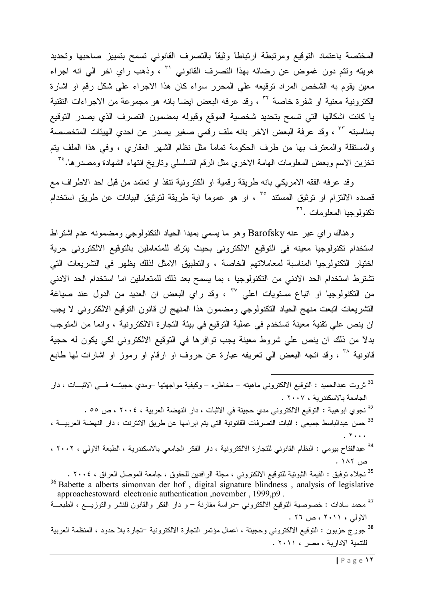المختصة باعتماد التوقيع ومرتبطة ارتباطا وثيقا بالتصرف القانوني تسمح بتمييز صاحبها وتحديد هويته وتتم دون غموض عن رضائه بهذا التصرف القانوني لـ ٌ ، وذهب راي اخر الي انه اجراء معين يقوم به الشخص المراد توقيعه على المحرر سواء كان هذا الاجراء على شكل رقم او اشارة الكترونية معنية او شفرة خاصة \* ، وقد عرفه البعض ايضا بانه هو مجموعة من الاجراءات التقنية يا كانت اشكالها التي تسمح بتحديد شخصية الموقع وقبوله بمضمون التصرف الذي يصدر التوقيع بمناسبته ٣٠ ، وقد عرفة البعض الاخر بانه ملف رقمي صغير يصدر عن احدي الهيئات المتخصصة والمستقلة والمعترف بها من طرف الحكومة تمامًا مثل نظام الشهر العقاري ، وفي هذا الملف يتم تخزين الاسم وبعض المعلومات الهامة الاخري مثل الرقم التسلسلي وتاريخ انتهاء الشهادة ومصدر ها. ُ ّ

وقد عرفه الفقه الامريكي بانه طريقة رقمية او الكترونية نتفذ او تعتمد من قبل احد الاطراف مع قصده الالتزام او توثيق المستند °٬ ، او هو عموماً اية طريقة لتوثيق البيانات عن طريق استخدام تكنولوجيا المعلومات .<sup>٣٦</sup>

وهناك راي عبر عنه Barofsky وهو ما يسمي بمبدا الحياد النكنولوجي ومضمونه عدم اشتراط استخدام تكنولوجيا معينه في التوقيع الالكتروني بحيث يترك للمتعاملين بالتوقيع الالكتروني حرية اختيار التكنولوجيا المناسبة لمعاملاتهم الخاصة ، والتطبيق الامثل لذلك يظهر في التشريعات التي تشترط استخدام الحد الادني من التكنولوجيا ، بما يسمح بعد ذلك للمتعاملين اما استخدام الحد الادني من النكنولوجيا او اتباع مستويات اعلى ٣٧ ، وقد راي البعض ان العديد من الدول عند صياغة النشريعات انبعت منهج الحياد النكنولوجي ومضمون هذا المنهج ان قانون النوقيع الالكتروني لا يجب ان ينص علي تقنية معينة تستخدم في عملية التوقيع في بيئة التجارة الالكترونية ، وانما من المتوجب بدلاً من ذلك ان ينص على شروط معينة يجب توافرها في التوقيع الالكتروني لكي يكون له حجية قانونية ^' ، وقد اتجه البعض الى نعريفه عبارة عن حروف او ارقام او رموز او اشارات لها طابع

- <sup>31</sup> ثروت عبدالحميد : التوقيع الالكتروني ماهيته مخاطره وكيفية مواجهتها –ومدي حجيتـــه فـــي الاثبـــات ، دار الحامعة بالاسكندرية ، ٢٠٠٧.
	- <sup>32</sup> نجوي ابو هيبة : التوقيع الالكتروني مدي حجيتة في الاثبات ، دار النهضة العربية ، ٢٠٠٤ ، ص ٥٥ .
- <sup>33</sup> حسن عبدالباسط جميعي : اثبات التصرفات القانونية التي يتم ابر امها عن طريق الانترنت ، دار النهضة العربيـــة ،  $. Y...$ <sup>34</sup> عبدالفتاح ببومي : النظام القانوني للتجارة الالكترونية ، دار الفكر الجامعي بالاسكندرية ، الطبعة الاولي ، ٢٠٠٢ ،
	- ص ١٨٢ .

<sup>35</sup> نجلاء توفيق : القيمة الثبوتية للتوقيع الالكتروني ، مجلة الرافدين للحقوق ، جامعة الموصل العراق ، ٢٠٠٤ . <sup>36</sup> Babette a alberts simonvan der hof, digital signature blindness, analysis of legislative approachestoward electronic authentication , november, 1999, p9. <sup>37</sup> محمد سادات : خصوصية النوفيع الالكتروني حراسة مقارنة – و دار الفكر والقانون للنشر والنوزيـــع ، الطبعـــة الاولىي ، ٢٠١١ ، ص ٢٦ .

<sup>38</sup> جورج حزبون : التوقيع الالكتروني وحجيتة ، اعمال مؤتمر التجارة الالكترونية <sup>ـــ</sup>تجارة بلا حدود ، المنظمة العربية للنتمية الادارية ، مصر ، ٢٠١١ .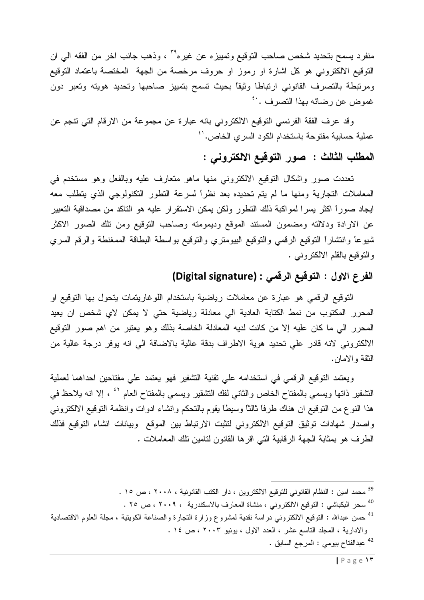منفرد يسمح بتحديد شخص صـاحب التوقيع وتمييزه عن غيره<sup>٢٩</sup> ، وذهب جانب اخر من الفقه الـي ان النوفيع الالكتروني هو كل اشارة او رموز او حروف مرخصة من الجهة المختصة باعتماد النوفيع ومرتبطة بالتصرف القانوني ارتباطا وثيقا بحيث تسمح بتمييز صاحبها وتحديد هويته وتعبر دون غموض عن رضائه بهذا النصرف .<sup>.؛</sup>

وقد عرف الفقة الفرنسي التوقيع الالكتروني بانه عبارة عن مجموعة من الارقام التي تتجم عن عملية حسابية مفتوحة باستخدام الكود السري الخاص. <sup>١٠</sup>

# المطلب الثالث : صور التوقيع الالكتروني :

تعددت صور واشكال التوقيع الالكتروني منها ماهو متعارف عليه وبالفعل وهو مستخدم في المعاملات النجارية ومنها ما لم يتم تحديده بعد نظراً لسرعة النطور النكنولوجي الذي يتطلب معه ايجاد صوراً اكثر يسرا لمواكبة ذلك التطور ولكن يمكن الاستقرار عليه هو التاكد من مصداقية التعبير عن الارادة ودلالته ومضمون المستند الموقع وديمومته وصاحب التوقيع ومن نلك الصور الاكثر شيوعا وانتشارا النوقيع الرقمى والنوقيع الببومتري والنوقيع بواسطة البطاقة الممغنطة والرقم السري والتوقيع بالقلم الالكتروني .

#### الفرع الاول : التوقيع الرقمي : (Digital signature)

النوقيع الرقمي هو عبارة عن معاملات رياضية باستخدام اللوغاريتمات يتحول بها التوقيع او المحرر المكتوب من نمط الكتابة العادية الى معادلة رياضية حتى لا يمكن لاي شخص ان يعيد المحرر الى ما كان عليه إلا من كانت لديه المعادلة الخاصة بذلك وهو يعتبر من اهم صور النوقيع الالكتروني لانه قادر على تحديد هوية الاطراف بدقة عالية بالاضافة الى انه يوفر درجة عالية من النقة والامان.

ويعتمد التوقيع الرقمي في استخدامه على تقنية التشفير فهو يعتمد على مفتاحين احداهما لعملية النشفير ذاتها ويسمى بالمفتاح الخاص والثانبي لفك النشقير ويسمى بالمفتاح العام <sup>٤٢</sup> ، إلا انه يلاحظ في هذا النوع من النوقيع ان هناك طرفاً ثالثًا وسيطاً يقوم بالتحكم وانشاء ادوات وانظمة النوقيع الالكتروني واصدار شهادات توثيق التوقيع الالكتروني لتثبت الارتباط بين الموقع وبيانات انشاء التوقيع فذلك الطرف هو بمثابة الجهة الرقابية التي اقرها القانون لتامين تلك المعاملات .

<sup>39</sup> محمد امين : النظام القانوني للتوقيع الالكتروين ، دار الكتب القانونية ، ٢٠٠٨ ، ص ١٥ .

<sup>40</sup> سحر البكباشي : التوقيع الالكتروني ، منشاة المعارف بالاسكندرية ، ٢٠٠٩ ، ص ٢٥ .

<sup>41</sup> حسن عبدالله : التوقيع الالكتروني دراسة نقدية لمشروع وزارة التجارة والصناعة الكويتية ، مجلة العلوم الاقتصادية والادارية ، المجلد الناسع عشر ، العدد الاول ، بونيو ٢٠٠٣ ، ص ١٤ . <sup>42</sup> عبدالفتاح بيومي : المرجع السابق .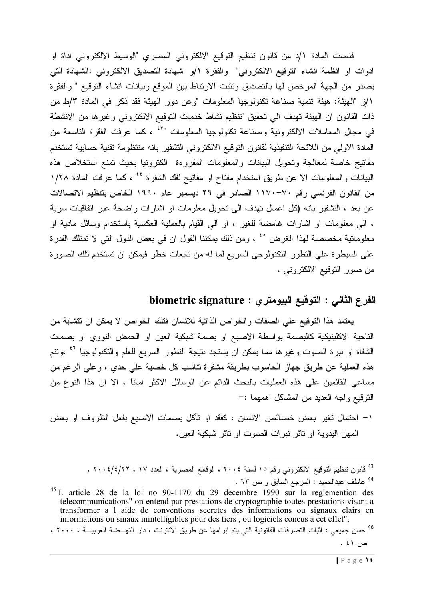فنصت المادة ١/د من قانون تنظيم التوقيع الالكتروني المصرى "الوسيط الالكتروني اداة او ادوات او انظمة انشاء التوقيع الالكتروني" والفقرة ١/و "شهادة التصديق الالكتروني :الشهادة التي يصدر من الجهة المرخص لها بالتصديق وتثبت الارتباط بين الموقع وبيانات انشاء التوقيع " والفقرة ١/ز "الهيئة: هيئة نتمية صناعة نكنولوجيا المعلومات "وعن دور الهيئة فقد ذكر في المادة ٣/ط من ذات القانون ان الهيئة تهدف الى تحقيق "تنظيم نشاط خدمات التوقيع الالكتروني وغيرها من الانشطة في مجال المعاملات الالكترونية وصناعة نكنولوجيا المعلومات "ً ، كما عرفت الفقرة التاسعة من المادة الاولى من اللائحة التنفيذية لقانون التوقيع الالكتروني التشفير بانه منتظومة تقنية حسابية تستخدم مفاتيح خاصة لمعالجة وتحويل البيانات والمعلومات المقروءة الكترونيا بحيث تمنع استخلاص هذه البيانات والمعلومات الا عن طريق استخدام مفتاح او مفاتيح لفك الشفرة <sup>٤٤</sup> ، كما عرفت المادة ١/٢٨ من القانون الفرنسي رقم ٧٠–١١٧٠ الصادر في ٢٩ ديسمبر عام ١٩٩٠ الخاص بتنظيم الاتصالات عن بعد ، التشفير بانه (كل اعمال تهدف الى نحويل معلومات او اشارات واضحة عبر انفاقيات سرية ، الى معلومات او اشارات غامضة للغير ، او الى القيام بالعملية العكسية باستخدام وسائل مادية او معلوماتية مخصصة لهذا الغرض ° ً ، ومن ذلك يمكننا القول ان في بعض الدول التي لا تمتلك القدرة على السيطرة على النطور النكنولوجي السريع لما له من تابعات خطر فيمكن ان تستخدم تلك الصورة من صور التوفيع الالكتروني .

## الفرع الثاني : التوقيع البيومتر ى : biometric signature

يعتمد هذا النوقيع على الصفات والخواص الذانية للانسان فتلك الخواص لا يمكن ان نتشابة من الناحية الاكلينيكية كالبصمة بواسطة الاصبع او بصمة شبكية العين او الحمض النووي او بصمات الشفاة او نبرة الصوت وغيرها مما يمكن ان يستجد نتيجة التطور السريع للعلم والتكنولوجيا <sup>٤٦</sup> ،وتتم هذه العملية عن طريق جهاز الحاسوب بطريقة مشفرة نتاسب كل خصية على حدي ، وعلى الرغم من مساعى القائمين على هذه العمليات بالبحث الدائم عن الوسائل الاكثر اماناً ، الا ان هذا النوع من النوقيع واجه العديد من المشاكل اهمهما :–

١– احتمال تغير بعض خصائص الانسان ، كفقد او تأكل بصمات الاصبع بفعل الظروف او بعض المهن اليدوية او تاثر نبر ات الصوت او تاثر شبكية العين.

 $^{45}$  L article 28 de la loi no 90-1170 du 29 decembre 1990 sur la reglemention des telecommunications" on entend par prestations de cryptographie toutes prestations visant a transformer a l aide de conventions secretes des informations ou signaux clairs en informations ou sinaux inintelligibles pour des tiers, ou logiciels concus a cet effet",

<sup>&</sup>lt;sup>43</sup> قانون تنظيم التوقيع الالكتروني رقم ١٥ لسنة ٢٠٠٤ ، الوقائع المصرية ، العدد ١٧ ، ٢٠٠٤/٤/٢٢ . <sup>44</sup> عاطف عبدالحميد : المرجع السابق و ص ٦٣ .

<sup>&</sup>lt;sup>46</sup> حسن جميعي : اثبات التصرفات القانونية التي يتم ابر امها عن طريق الانترنت ، دار النهــضـة العربيـــة ، ٢٠٠٠ ،  $. \xi$  ص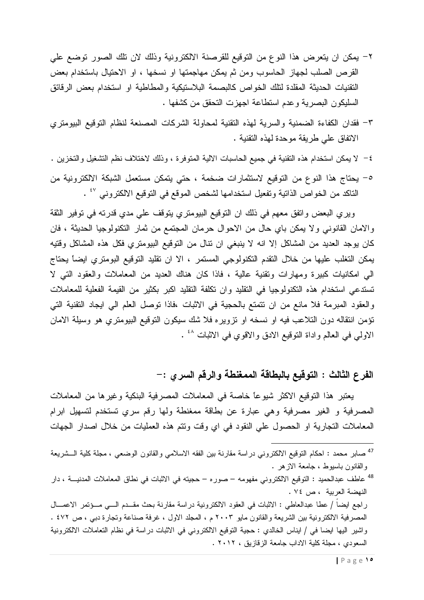- ٢– يمكن ان يتعرض هذا النوع من التوقيع للقرصنة الالكترونية وذلك لان تلك الصور توضع على القرص الصلب لجهاز الحاسوب ومن ثم يمكن مهاجمتها او نسخها ، او الاحتيال باستخدام بعض النقنيات الحديثة المقلدة لنلك الخواص كالبصمة البلاستيكية والمطاطية او استخدام بعض الرقائق السليكون البصرية وعدم استطاعة اجهزت التحقق من كشفها .
- ٣- فقدان الكفاءة الضمنية والسرية لمهذه النقنية لمحاولة الشركات المصنعة لنظام النوقيع البيومتري الاتفاق على طريقة موحدة لهذه النقنية .
- ٤– لا يمكن استخدام هذه النقنية في جميع الحاسبات الالية المتوفرة ، وذلك لاختلاف نظم التشغيل والتخزين .
- ٥- يحتاج هذا النوع من التوقيع لاستثمارات ضخمة ، حتى يتمكن مستعمل الشبكة الالكترونية من الناكد من الخواص الذاتية وتفعيل استخدامها لشخص الموقع في التوقيع الالكتروني <sup>٤٧</sup> .

ويرى البعض واتفق معهم في ذلك ان التوقيع البيومتري يتوقف على مدى قدرته في توفير الثقة والامان القانوني ولا يمكن باي حال من الاحوال حرمان المجتمع من ثمار النكنولوجيا الحديثة ، فان كان يوجد العديد من المشاكل إلا انه لا ينبغي ان نتال من التوقيع البيومتري فكل هذه المشاكل وقتيه يمكن التغلب عليها من خلال النقدم التكنولوجي المستمر ، الا ان نقليد التوفيع البومتري ايضاً يحتاج الى امكانيات كبيرة ومهارات وتقنية عالية ، فاذا كان هناك العديد من المعاملات والعقود التبي لا تستدعى استخدام هذه التكنولوجيا في النقليد وان تكلفة النقليد اكبر بكثير من القيمة الفعلية للمعاملات والعقود المبرمة فلا مانع من ان نتمتع بالحجية في الاثبات ،فاذا نوصل العلم الى ايجاد التقنية التي نؤمن انتقاله دون التلاعب فيه او نسخه او نزويره فلا شك سيكون التوقيع البيومتري هو وسيلة الامان الاولى في العالم واداة النوفيع الادق والاقوي في الاثبات <sup>٤٨</sup> .

#### الفرع الثالث : التوقيع بالبطاقة الممغنطة والرقم السرى :–

يعتبر هذا التوقيع الاكثر شيوعًا خاصةً في المعاملات المصرفية البنكية وغيرها من المعاملات المصرفية و الغير مصرفية وهي عبارة عن بطاقة ممغنطة ولها رقم سرى تستخدم لتسهيل ابرام المعاملات النجارية او الحصول على النقود في اي وقت ونتم هذه العمليات من خلال اصدار الجهات

<sup>48</sup> عاطف عبدالحميد : النوفيع الالكتروني مفهومه – صوره – حجيته في الاثبات في نطاق المعاملات المدنيــــة ، دار النهضة العربية ، ص ٧٤.

راجع ايضا / عطا عبدالعاطي : الاثبات في العقود الالكترونية دراسة مقارنة بحث مقــدم الـــي مـــؤتمر الاعمـــال المصرفية الالكترونية بين الشريعة والقانون مايو ٢٠٠٣ م ، المجلد الاول ، غرفة صناعة وتجارة دبي ، ص ٤٧٢ . واشير اليها ايضا في / ايناس الخالدي : حجية التوقيع الالكتروني في الاثبات دراسة في نظام التعاملات الالكترونية السعودي ، مجلة كلبة الاداب جامعة الزقازيق ، ٢٠١٢ .

<sup>&</sup>lt;sup>47</sup> صـابر مـحمد : احكام النوقيع الالكترونـي دراسة مقارنـة بين الفقه الاسلامـي والقانون الوضـعـي ، مـجلة كلية الـــشريعة والقانون باسبوط ، جامعة الازهر .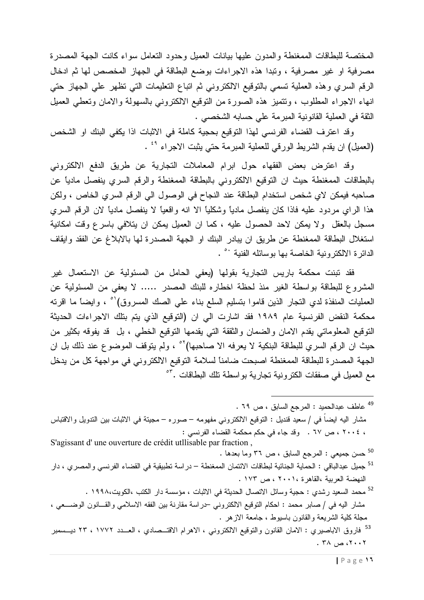المختصة للبطاقات الممغنطة والمدون عليها بيانات العميل وحدود التعامل سواء كانت الجهة المصدرة مصرفية او غير مصرفية ، ونبدا هذه الاجراءات بوضع البطاقة في الجهاز المخصص لها ثم ادخال الرقم السري وهذه العملية تسمى بالتوقيع الالكتروني ثم اتباع التعليمات التي تظهر على الجهاز حتى انهاء الاجراء المطلوب ، ونتميز هذه الصورة من النوقيع الالكتروني بالسهولة والامان ونعطى العميل النُّقة في العملية القانونية المبرمة على حسابه الشخصبي .

وقد اعترف القضاء الفرنسي لهذا التوقيع بحجية كاملة في الاثبات اذا يكفي البنك او الشخص (العميل) ان يقدم الشريط الورقي للعملية المبرمة حتى يثبت الاجراء <sup>٤٩</sup> .

وقد اعترض بعض الفقهاء حول ابرام المعاملات التجارية عن طريق الدفع الالكتروني بالبطاقات الممغنطة حيث ان النوقيع الالكنروني بالبطاقة الممغنطة والرقم السري ينفصل ماديا عن صاحبه فيمكن لاي شخص استخدام البطاقة عند النجاح في الوصول الي الرقم السري الخاص ، ولكن هذا الراي مردود عليه فاذا كان ينفصل مادياً وشكلياً الا انه واقعياً لا ينفصل مادياً لان الرقم السري مسجل بالعقل ولا يمكن لاحد الحصول عليه ، كما ان العميل يمكن ان يتلافي باسرع وقت امكانية استغلال البطاقة الممغنطة عن طريق ان يبادر البنك او الجهة المصدرة لها بالابلاغ عن الفقد وايقاف الدائر ة الالكتر و نبة الخاصة بها بوسائله الفنبة <sup>٥٠</sup> .

فقد نبنت محكمة باريس التجارية بقولها (يعفى الحامل من المسئولية عن الاستعمال غير المشروع للبطاقة بواسطة الغير منذ لحظة اخطاره للبنك المصدر …… لا يعفى من المسئولية عن العمليات المنفذة لدي النجار الذين قاموا بتسليم السلع بناء علي الصك المسروق)<sup>٥٠</sup> ، وايضاً ما اقرنه محكمة النقض الفرنسية عام ١٩٨٩ فقد اشارت الى ان (التوقيع الذي يتم بتلك الاجراءات الحديثة النَّوفيع المعلوماتي يقدم الامان والضمان والثققة التي يقدمها النوفيع الخطي ، بل ۖ قد يفوقه بكثيرٍ من حيث ان الرقم السري للبطاقة البنكية لا يعرفه الا صاحبها)<sup>07</sup> ، ولم يتوقف الموضوع عند ذلك بل ان الجهة المصدرة للبطاقة الممغنطة اصبحت ضامناً لسلامة التوقيع الالكتروني في مواجهة كل من يدخل مع العميل في صفقات الكترونية تجارية بواسطة تلك البطاقات .<sup>07</sup>

- <sup>49</sup> عاطف عبدالحميد : المرجع السابق ، ص ٦٩ . مشار اليه ايضـاً فـي / سعيد قنديل : التوقيع الالكترونـي مفهومه – صـوره – مـجيتة فـي الاثبات بين التدويل والاقتباس ، ٢٠٠٤ ، ص ٦٧ . وقد جاء في حكم محكمة القضاء الفرنسي : S'agissant d'une ouverture de crédit utilisable par fraction,
	- <sup>50</sup> حسن جميعي : المرجع السابق ، ص ٣٦ وما بعدها .
- <sup>51</sup> جميل عبدالباقي : الحماية الجنائية لبطاقات الائتمان الممغنطة در اسة تطبيقية في القضاء الفرنسي و المصري ، دار النهضة العربية ،القاهرة ٢٠٠١، ص ١٧٣ .
- <sup>52</sup> محمد السعيد رشدي : حجية وسائل الاتصال الحديثة في الاثبات ، مؤسسة دار الكتب ،الكويت،١٩٩٨ . مشار اليه في / صابر محمد : احكام النوقيع الالكتروني –دراسة مقارنة بين الفقه الاسلامي والقـــانون الوضـــعي ، مجلَّة كلَّية الشَّريعة والقانون باسيوط ، جامعة الازهر .
- <sup>53</sup> فاروق الاباصيري : الامان القانون والتوقيع الالكتروني ، الاهرام الاقتـــصادي ، العـــدد ١٧٧٢ ، ٢٣ ديـــسمبر  $.74 \rightarrow .7...7$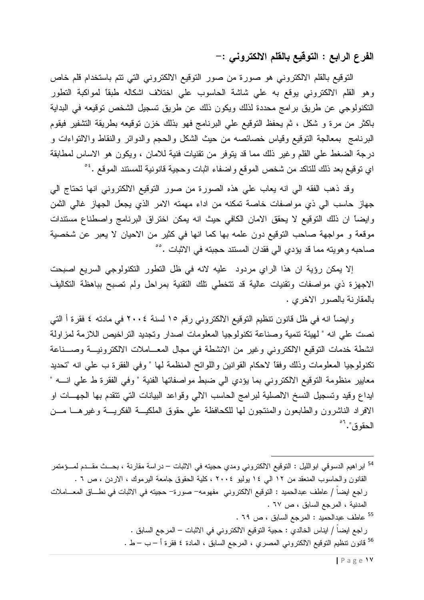الفرع الرابع : التوقيع بالقلم الالكتروني :–

النوفيع بالقلم الالكتروني هو صورة من صور النوفيع الالكتروني التي نتم باستخدام قلم خاص وهو القلم الالكتروني يوقع به علي شاشة الحاسوب علي اختلاف اشكاله طبقا لمواكبة النطور النكنولوجي عن طريق برامج محددة لذلك ويكون ذلك عن طريق تسجيل الشخص توقيعه في البداية باكثر من مرة و شكل ، ثم يحفظ التوقيع على البرنامج فهو بذلك خزن نوقيعه بطريقة التشفير فيقوم البرنامج بمعالجة التوقيع وقياس خصائصه من حيث الشكل والحجم والدوائر والنقاط والالتواءات و درجة الضغط على القلم وغير ذلك مما قد ينوفر من نقنيات فنية للامان ، ويكون هو الاساس لمطابقة اي نوفيع بعد ذلك للناكد من شخص الموقع واضفاء اثبات وحجية قانونية للمستند الموقع .<sup>ء</sup>°

وقد ذهب الفقه الى انه يعاب على هذه الصورة من صور التوقيع الالكتروني انها تحتاج الى جهاز حاسب الى ذي مواصفات خاصة تمكنه من اداء مهمته الامر الذي يجعل الجهاز غالي الثمن وايضاً ان ذلك التوقيع لا يحقق الامان الكافي حيث انه يمكن اختراق البرنامج واصطناع مستندات موقعة و مواجهة صاحب التوقيع دون علمه بها كما انها في كثير من الاحيان لا يعبر عن شخصية صاحبه وهويته مما قد يؤدي الى فقدان المستند حجبته في الاثبات .<sup>00</sup>

إلا يمكن رؤية ان هذا الراي مردود عليه لانه في ظل النطور النكنولوجي السريع اصبحت الاجهزة ذي مواصفات ونقنيات عالية قد نتخطى نلك النقنية بمراحل ولم نصبح بباهظة النكاليف بالمقارنة بالصور الاخري .

وايضاً انه في ظل قانون نتظيم التوقيع الالكتروني رقم ١٥ لسنة ٢٠٠٤ في مادته ٤ فقرة أ التي نصت على انه " لهيئة نتمية وصناعة نكنولوجيا المعلومات اصدار وتجديد التراخيص اللازمة لمزاولة انشطة خدمات النوقيع الالكتروني وغير من الانشطة في مجال المعـــاملات الالكترونيـــة وصـــناعة نكنولوجيا المعلومات وذلك وفقا لاحكام القوانين واللوائح المنظمة لها " وفي الفقرة ب على انه "تحديد معايير منظومة النوفيع الالكتروني بما يؤدي الى ضبط مواصفاتها الفنية " وفي الفقرة ط على انــــه " ايداع وقيد وتسجيل النسخ الالصلية لبرامج الحاسب الالي وقواعد البيانات التي نتقدم بها الجهــات او الافراد الناشرون والطابعون والمنتجون لمها للكحافظة على حقوق الملكيسة الفكريسة وغيرهسا مسن الحقوق". "

ر لجع ايضا / ايناس الخالدي : حجية التوقيع الالكتروني في الاثبات – المرجع السابق . <sup>56</sup> قانون تنظيم التوقيع الالكتروني المصرى ، المرجع السابق ، المادة ٤ فقرة أ – ب – ط .

<sup>&</sup>lt;sup>54</sup> ابراهيم الدسوقي ابوالليل : التوقيع الالكتروني ومدي حجيته في الاثبات – دراسة مقارنة ، بحــث مقــدم لمــؤمتمر القانون والحاسوب المنعقد من ١٢ الى ١٤ بوليو ٢٠٠٤ ، كلية الحقوق جامعة اليرموك ، الاردن ، ص ٦ . راجع ايضاً / عاطف عبدالحميد : النوفيع الالكتروني مفهومه− صورة− حجيته في الاثبات في نطـــاق المعــــاملات المدنية ، المرجع السابق ، ص ٦٧ . <sup>55</sup> عاطف عبدالحميد : المرجع السابق ، ص 79 .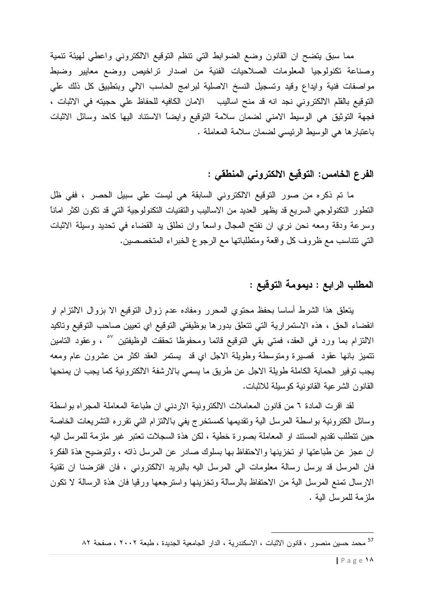مما سبق يتضح ان القانون وضع الضوابط التي نتظم التوقيع الالكتروني واعطى لهيئة نتمية وصناعة تكنولوجيا المعلومات الصلاحيات الفنية من اصدار نراخيص ووضع معايير وضبط مواصفات فنية وايداع وقيد وتسجيل النسخ الاصلية لبرامج الحاسب الالي وبنطبيق كل ذلك على النوفيع بالقلم الالكتروني نجد انه قد منح اساليب الامان الكافيه للحفاظ على حجيته في الاثبات ، فجهة النوثيق هي الوسيط الامني لضمان سلامة النوقيع وايضاً الاستناد اليها كاحد وسائل الاثبات باعتبارها هي الوسيط الرئيسي لضمان سلامة المعاملة .

#### الفرع الخامس: التوقيع الالكتروني المنطقي :

ما تم ذكره من صور التوقيع الالكتروني السابقة هي ليست على سبيل الحصر ، ففي ظل النطور النكنولوجي السريع قد يظهر الحديد من الاساليب والنقنيات النكنولوجية التي قد نكون اكثر امانا وسرعة ودقة ومعه نحن نري ان نفتح المجال واسعًا وان نطلق يد القضاء في تحديد وسيلة الاثبات التي نتناسب مع ظروف كل واقعة ومتطلباتها مع الرجوع الخبراء المتخصصين.

#### المطلب الرابع : ديمومة التوقيع :

بتعلق هذا الشرط أساسا بحفظ محتوي المحرر ومفاده عدم زوال النوفيع الا بزوال الالنزام او انقضاء الحق ، هذه الاستمرارية التي تتعلق بدورها بوظيفتي التوقيع اي تعيين صاحب التوقيع وتاكيد الالتزام بما ورد في العقد، فمتى بقى التوقيع قائما ومحفوظا تحققت الوظيفتين <sup>٥٧</sup> ، وعقود التامين نتميز بانها عقود قصيرة ومتوسطة وطويلة الاجل اي قد يستمر العقد اكثر من عشرون عام ومعه يجب نوفير الحماية الكاملة طويلة الاجل عن طريق ما يسمى بالارشفة الالكترونية كما يجب ان يمنحها القانون الشر عية القانونية كوسيلة للاثبات.

لقد اقرت المادة ٦ من قانون المعاملات الالكترونية الاردنبي ان طباعة المعاملة المجراه بواسطة وسائل الكترونية بواسطة المرسل الية وتقديمها كمستخرج يفى بالالتزام التى نقرره التشريعات الخاصة حين نتطلب نقديم المستند او المعاملة بصورة خطية ، لكن هذة السجلات نعتبر غير ملزمة للمرسل اليه ان عجز عن طباعتها او تخزينها والاحتفاظ بها بسلوك صادر عن المرسل ذاته ، ولتوضيح هذة الفكرة فان المرسل قد برسل رسالة معلومات الى المرسل اليه بالبريد الالكتروني ، فان افترضنا ان تقنية الارسال تمنع المرسل الية من الاحتفاظ بالرسالة وتخزينها واسترجعها ورقيا فان هذة الرسالة لا تكون ملز مة للمر سل الية .

<sup>&</sup>lt;sup>57</sup> محمد حسين منصور ، قانون الاثبات ، الاسكندرية ، الدار الجامعية الجديدة ، طبعة ٢٠٠٢ ، صفحة ٨٢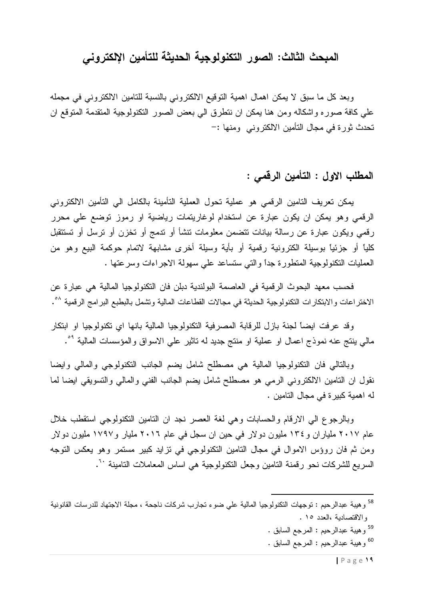# المبحث الثالث: الصور التكنولوجية الحديثة للتأمين الإلكتروني

وبعد كل ما سبق لا يمكن اهمال اهمية التوقيع الالكتروني بالنسبة للتامين الالكتروني في مجمله على كافة صوره واشكاله ومن هنا بمكن ان نتطرق الى بعض الصور النكنولوجية المتقدمة المتوقع ان تحدث ثور ة في مجال التأمين الالكتروني ومنها :–

## المطلب الاول : التأمين الرقمي :

يمكن تعريف التامين الرقمي هو عملية تحول العملية التأمينة بالكامل الى التأمين الالكتروني الرقمي وهو يمكن ان يكون عبارة عن استخدام لوغاريتمات رياضية او رموز توضع على محرر رقمي ويكون عبارة عن رسالة بيانات تتضمن معلومات نتشأ أو ندمج أو نخزن أو نرسل أو نستتقبل كلياً أو جزئياً بوسيلة الكترونية رقمية أو بأية وسيلة أخرى مشابهة لاتمام حوكمة البيع وهو من العمليات النكنولوجية المتطورة جداً والتي ستساعد على سهولة الاجراءات وسرعتها .

فحسب معهد البحوث الرقمية في العاصمة البولندية دبلن فان النكنولوجيا المالية هي عبارة عن الاختراعات والابنكارات النكنولوجية الحديثة في مجالات القطاعات المالية ونشمل بالبطبع البرامج الرقمية ^°.

وقد عرفت ايضاً لجنة بازل للرقابة المصرفية التكنولوجيا المالية بانها اي تكنولوجيا او ابتكار مالي بنتج عنه نموذج اعمال او عملية او منتج جديد له تاثير على الاسواق والمؤسسات المالية <sup>٥٩</sup>.

وبالنالي فان النكنولوجيا المالية هي مصطلح شامل يضم الجانب النكنولوجي والمالي وايضا نقول ان التامين الالكتروني الرمي هو مصطلح شامل يضم الجانب الفني والمالي والنسويقي ايضا لما له اهمية كبيرة في مجال التامين .

وبالرجوع الى الارقام والحسابات وهي لغة العصر نجد ان النامين النكنولوجي استقطب خلال عام ۲۰۱۷ ملیاران و ۱۳٤ ملیون دولار فی حین ان سجل فی عام ۲۰۱۲ ملیار و ۱۷۹۷ ملیون دولار ومن ثم فان روؤس الاموال في مجال التامين التكنولوجي في نزايد كبير مستمر وهو يعكس التوجه السر يع للشر كات نحو ر قمنة التامين و جعل النكنو لو جية هي اساس المعاملات التامينة ``.

- <sup>59</sup> وهيبة عبدالرحيم : المرجع السابق .
- <sup>60</sup> و هيبة عبدالرحيم : المرجع السابق .

<sup>&</sup>lt;sup>58</sup> وهيبة عبدالرحيم : توجهات النكنولوجيا المالية علي ضوء تجارب شركات ناجحة ، مجلة الاجتهاد للدرسات القانونية والاقتصادية ،العدد ١٥ .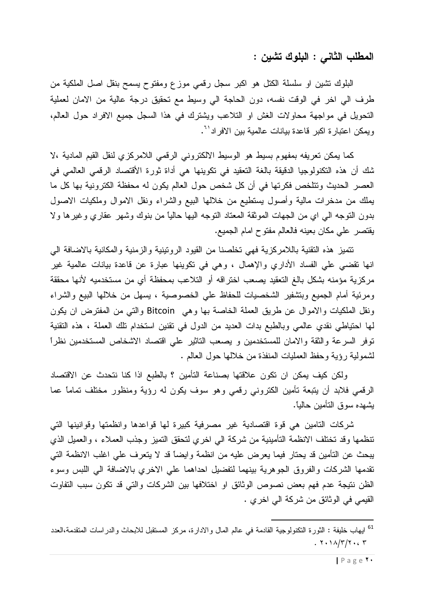المطلب الثاني : البلوك تشبن :

البلوك نتشين او سلسلة الكتل هو اكبر سجل رقمي موزع ومفتوح يسمح بنقل اصل الملكية من طرف الى اخر في الوقت نفسه، دون الحاجة الى وسيط مع تحقيق درجة عالية من الامان لعملية النحويل في مواجهة محاولات الغش او النلاعب ويشترك في هذا السجل جميع الافراد حول العالم، وبمكن اعتبار ة اكبر قاعدة ببانات عالمبة ببن الافر اد<sup>71</sup>.

كما يمكن تعريفه بمفهوم بسيط هو الوسيط الالكتروني الرقمي اللامركزي لنقل القيم المادية ،لا شك أن هذه التكنولوجيا الدقيقة بالغة التعقيد في نكوينها هي أداة ثورة الأقتصاد الرقمي العالمي في العصر الحديث ونتلخص فكرتها في أن كل شخص حول العالم يكون له محفظة الكترونية بها كل ما بملك من مدخرات مالية وأصول يستطيع من خلالها البيع والشراء ونقل الاموال وملكيات الاصول بدون النوجه الى اي من الجهات الموثقة المعتاد النوجه اليها حالياً من بنوك وشهر عقاري وغيرها ولا يقتصر على مكان بعينه فالعالم مفتوح امام الجميع.

تتميز هذه التقنية باللامركزية فهى تخلصنا من القيود الرونينية والزمنية والمكانية بالاضافة الىي انها نقضي على الفساد الأداري والإهمال ، وهي في نكوينها عبارة عن قاعدة بيانات عالمية غير مركزية مؤمنه بشكل بالغ النعقيد يصعب اختراقه أو النلاعب بمحفظة أي من مستخدميه لأنها محققة ومرئية أمام الجميع وبتشفير الشخصيات للحفاظ على الخصوصية ، يسهل من خلالها البيع والشراء ونقل الملكيات والاموال عن طريق العملة الخاصة بها وهي Bitcoin والتي من المفترض ان يكون لمها احتياطي نقدي عالمي وبالطبع بدات العديد من الدول في تقنين استخدام تلك العملة ، هذه التقنية توفر السرعة والثقة والامان للمستخدمين و يصعب الناثير على اقتصاد الاشخاص المستخدمين نظراً لشمولية رؤية وحفظ العمليات المنفذة من خلالها حول العالم .

ولكن كيف بمكن ان تكون علاقتها بصناعة التأمين ؟ بالطبع اذا كنا نتحدث عن الاقتصاد الرقمي فلابد أن بتبعة تأمين الكتروني رقمي وهو سوف بكون له رؤية ومنظور مختلف تماماً عما بشهده سوق التأمين حالباً.

شركات التامين هي قوة اقتصادية غير مصرفية كبيرة لها قواعدها وانظمتها وقوانينها التي تنظمها وقد تختلف الانظمة التأمينية من شركة الى اخرى لتحقق التميز وجذب العملاء ، والعميل الذي يبحث عن النأمين قد يحتار فيما يعرض عليه من انظمة وايضاً قد لا يتعرف على اغلب الانظمة التي نقدمها الشركات والفروق الجوهرية بينهما لتفضيل احداهما على الاخري بالاضافة الى اللبس وسوء الظن نتيجة عدم فهم بعض نصوص الوثائق او اختلافها بين الشركات والتي قد تكون سبب التفاوت القيمي في الوثائق من شركة الى اخرى .

<sup>&</sup>lt;sup>61</sup> ايهاب خليفة : الثورة التكنولوجية القادمة في عالم المال والادارة، مركز المستقبل للابحاث والدراسات المتقدمة،العدد  $. 7.11/T/T. c T$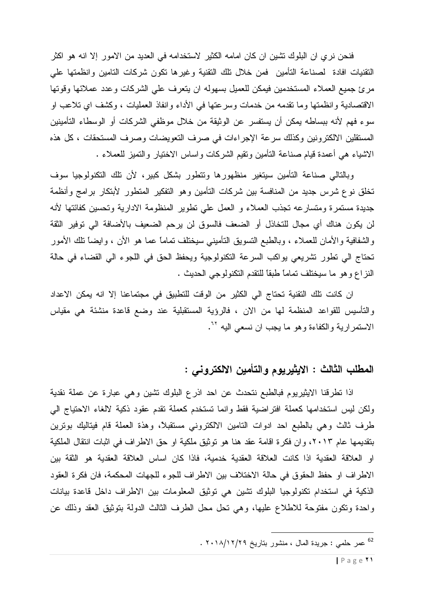فنحن نر ي ان البلوك نشين ان كان امامه الكثير الاستخدامه في الحديد من الامور إلا انه هو اكثر النقنيات افادة لصناعة التأمين فمن خلال نلك النقنية وغيرها نكون شركات النامين وانظمتها على مرئ جميع العملاء المستخدمين فيمكن للعميل بسهوله ان يتعرف على الشركات وعدد عملائها وقوتها الاقتصادية وانظمتها وما نقدمه من خدمات وسرعتها في الأداء وانفاذ العمليات ، وكشف اي تلاعب او سوء فهم لأنه ببساطه يمكن أن يستفسر عن الوثيقة من خلال موظفي الشركات أو الوسطاء التأمينين المستقلين الالكترونين وكذلك سرعة الإجراءات في صرف التعويضات وصرف المستحقات ، كل هذه الاشياء هي أعمدة قيام صناعة التأمين ونقيم الشركات واساس الاختيار والنميز للعملاء .

وبالنالي صناعة النأمين سيتغير منظهورها وتتطور بشكل كبير، لأن نلك النكنولوجيا سوف تخلق نوع شرس جديد من المنافسة بين شركات التأمين وهو التفكير المتطور لأبتكار برامج وأنظمة جديدة مستمرة ومتسارعه تجذب العملاء و العمل علي تطوير المنظومة الادارية وتحسين كفائتها لأنه لن يكون هناك أي مجال للتخاذل أو الضعف فالسوق لن يرحم الضعيف بالأضافة الى توفير الثقة والشفافية والأمان للعملاء ، وبالطبع التسويق التأميني سيختلف نمامًا عما هو الأن ، وايضاً نلك الأمور تحتاج الى نطور نشريعي يواكب السرعة التكنولوجية ويحفظ الحق في اللجوء الى القضاء في حالة النزاع وهو ما سيختلف تمامًا طبقًا للنقدم التكنولوجي الحديث .

ان كانت تلك التقنية تحتاج الى الكثير من الوقت للتطبيق في مجتماعنا إلا انه يمكن الاعداد والتأسيس للقواعد المنظمة لها من الان ، فالرؤية المستقبلية عند وضع قاعدة منشئة هي مقياس الاستمرارية والكفاءة وهو ما يجب ان نسعى اليه <sup>٢٠</sup>.

## المطلب الثالث : الايثيريوم والتأمين الالكتروني :

اذا نطرقنا الايثيريوم فبالطبع نتحدث عن احد اذرع البلوك تشين وهي عبارة عن عملة نقدية ولكن ليس استخدامها كعملة افتراضية فقط وانما تستخدم كعملة تقدم عقود ذكية لالغاء الاحتياج البي طرف ثالث وهي بالطبع احد ادوات التامين الالكتروني مستقبلا، وهذة العملة قام فيتاليك بونرين بتقديمها عام ٢٠١٣، وان فكرة اقامة عقد هنا هو توثيق ملكية او حق الاطراف في اثبات انتقال الملكية او العلاقة العقدية اذا كانت العلاقة العقدية خدمية، فاذا كان اساس العلاقة العقدية هو الثقة بين الاطراف او حفظ الحقوق في حالة الاختلاف بين الاطراف للجوء للجهات المحكمة، فان فكرة العقود الذكية في استخدام تكنولوجيا البلوك تشين هي توثيق المعلومات بين الاطراف داخل فاعدة بيانات واحدة ونكون مفتوحة للاطلاع عليها، وهي نحل محل الطرف الثالث الدولة بنوثيق العقد وذلك عن

<sup>&</sup>lt;sup>62</sup> عمر حلمي : جريدة المال ، منشور بتاريخ ٢٠١٨/١٢/٢٩ .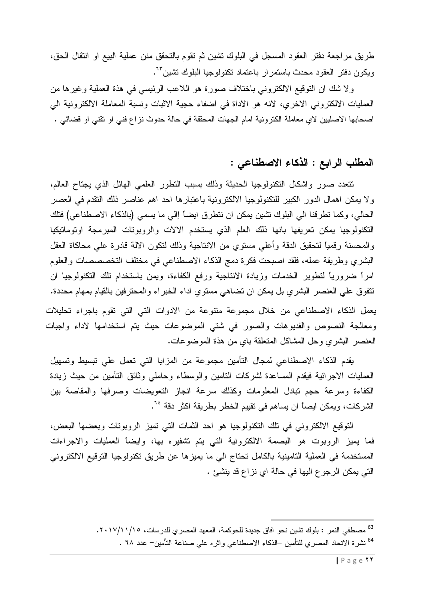طريق مراجعة دفتر العقود المسجل في البلوك نتثىين ثم نقوم بالتحقق منن عملية البيع او انتقال الحق، ويكون دفتر العقود محدث باستمرار باعتماد تكنولوجيا البلوك تشين<sup>7</sup>".

ولا شك ان التوقيع الالكتروني باختلاف صورة هو اللاعب الرئيسي في هذة العملية وغيرها من العمليات الالكتروني الاخرى، لانه هو الاداة في اضفاء حجية الاثبات ونسبة المعاملة الالكترونية الى اصحابها الاصليين لاي معاملة الكترونية امام الجهات المحققة في حالة حدوث نزاع فني او نقني او قضائي .

# المطلب الرابع : الذكاء الاصطناعى :

نتعدد صور واشكال التكنولوجيا الحديثة وذلك بسبب النطور العلمى الهائل الذى يجتاح العالم، و لا يمكن اهمال الدور الكبير للتكنولوجيا الالكترونية باعتبارها احد اهم عناصر ذلك التقدم في العصر الحالي، وكما تطرفنا الى البلوك نتثبين يمكن ان نتطرق ايضاً إالى ما يسمى (بالذكاء الاصطناعي) فتلك النكنولوجيا يمكن تعريفها بانها ذلك العلم الذى يستخدم الالات والروبوتات المبرمجة اوتوماتيكيا والمحسنة رقمياً لتحقيق الدقة وأعلى مستوى من الانتاجية وذلك لتكون الالة قادرة على محاكاة العقل البشري وطريقة عمله، فلقد اصبحت فكرة دمج الذكاء الاصطناعي في مختلف التخصصصات والعلوم امراً ضرورياً لنطوير الخدمات وزيادة الانتاجية ورفع الكفاءة، ويمن باستخدام نلك النكنولوجيا ان نتفوق علي العنصر البشري بل يمكن ان نضاهي مستوي اداء الخبراء والمحترفين بالقيام بمهام محددة. يعمل الذكاء الاصطناعي من خلال مجموعة متنوعة من الادوات التي التي تقوم باجراء تحليلات ومعالجة النصوص والفديوهات والصور في شتي الموضوعات حيث يتم استخدامها لاداء واجبات العنصر البشري وحل المشاكل المتعلقة باي من هذة الموضوعات.

يقدم الذكاء الاصطناعي لمجال التأمين مجموعة من المزايا التي تعمل على نبسيط ونسهيل العمليات الاجرائية فيقدم المساعدة لشركات النامين والوسطاء وحاملي وثائق النأمين من حيث زيادة الكفاءة وسرعة حجم نبادل المعلومات وكذلك سرعة انجاز النعويضات وصرفها والمقاصة بين الشركات، ويمكن ايصــأ ان يساهم في تقييم الخطر بطريقة اكثر دقة <sup>٢٠</sup>.

النَّوفيع الالكتروني في تلك التكنولوجيا هو احد الثمات التي تميز الروبوتات وبعضها البعض، فما يميز الروبوت هو البصمة الالكترونية التي يتم تشفيره بها، وايضاً العمليات والاجراءات المستخدمة في العملية التامينية بالكامل تحتاج الى ما يميزها عن طريق تكنولوجيا التوقيع الالكتروني التي يمكن الرجو ع اليها في حالة اي نزاع قد ينشئ .

<sup>&</sup>lt;sup>63</sup> مصطفى النمر : بلوك نشين نحو افاق جديدة للحوكمة، المعهد المصري للدرسات، ١٧/١١/١/١٠٧. <sup>64</sup> نشرة الاتحاد المصرى للتأمين –الذكاء الاصطناعي واثره على صناعة التأمين– عدد ٦٨ .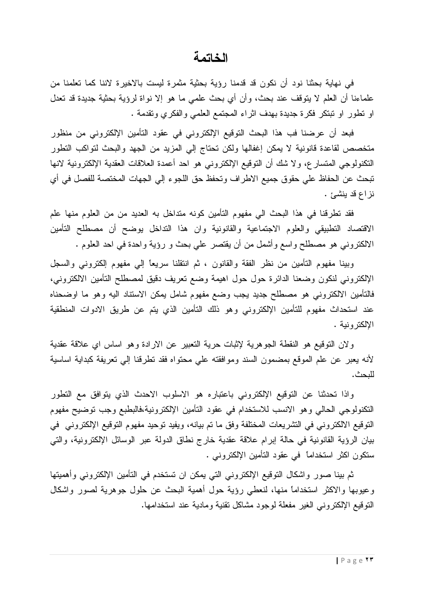#### الخاتمة

في نهاية بحثنا نود أن نكون قد قدمنا رؤية بحثية مثمرة ليست بالاخيرة لاننا كما تعلمنا من علماءنا أن العلم لا يتوقف عند بحث، وأن أي بحث علمي ما هو إلا نواة لرؤية بحثية جديدة قد تعدل او نطور او نبنكر فكرة جديدة بهدف اثراء المجتمع العلمي والفكري ونقدمة .

فبعد أن عرضنا فب هذا البحث النوقيع الإلكتروني في عقود التأمين الإلكتروني من منظور متخصص لقاعدة قانونية لا يمكن إغفالها ولكن تحتاج إلى المزيد من الجهد والبحث لتواكب التطور النكنولوجي المتسارع، ولا شك أن النوفيع الإلكتروني هو احد أعمدة العلاقات العقدية الإلكترونية لانها تبحث عن الحفاظ على حقوق جميع الاطراف وتحفظ حق اللجوء إلى الجهات المختصة للفصل في أي نزاع قد ينشئ .

فقد نطرفنا في هذا البحث الى مفهوم التأمين كونه متداخل به العديد من من العلوم منها علم الاقتصاد التطبيقي والعلوم الاجتماعية والقانونية وان هذا التداخل يوضح أن مصطلح التأمين الالكتروني هو مصطلح واسع وأشمل من أن يقتصر على بحث و رؤية واحدة في احد العلوم .

وبينا مفهوم النَّامين من نظر الفقة والقانون ، ثم انتقلنا سريعًا إلى مفهوم إلكتروني والسجل الإلكتروني لنكون وضعنا الدائرة حول حول اهيمة وضع نعريف دقيق لمصطلح النأمين الالكتروني، فالتأمين الالكتروني هو مصطلح جديد يجب وضع مفهوم شامل يمكن الاستناد اليه وهو ما اوضحناه عند استحداث مفهوم للتأمين الإلكتروني وهو ذلك التأمين الذي يتم عن طريق الادوات المنطقية الالكتر ونبة .

ولان التوقيع هو النقطة الجوهرية لإثبات حرية التعبير عن الارادة وهو اساس اي علاقة عقدية لأنه يعبر عن علم الموقع بمضمون السند وموافقته على محتواه فقد نطرقنا إلى نعريفة كبداية اساسية للىحث.

واذا تحدثنا عن التوقيع الإلكتروني باعتباره هو الاسلوب الاحدث الذي يتوافق مع التطور النكنولوجي الحالي وهو الانسب للاستخدام في عقود النأمين الإلكترونية،فالبطبع وجب نوضيح مفهوم النوفيع الالكتروني في التشريعات المختلفة وفق ما تم بيانه، ويفيد توحيد مفهوم النوقيع الإلكتروني في بيان الرؤية القانونية في حالة إبرام علاقة عقدية خارج نطاق الدولة عبر الوسائل الإلكترونية، والتي ستكون اكثر استخداماً في عقود التأمين الإلكتروني .

ثم بينا صور واشكال التوقيع الإلكتروني التي يمكن ان تستخدم في التأمين الإلكتروني وأهميتها وعبوبها والاكثر استخداماً منها، لنعطى رؤية حول أهمية البحث عن حلول جوهرية لصور واشكال النوفيع الإلكتروني الغير مفعلة لوجود مشاكل نقنية ومادية عند استخدامها.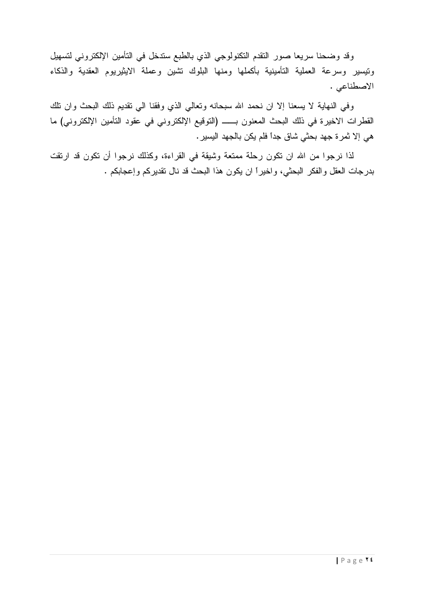وقد وضحنا سريعا صور النقدم النكنولوجي الذي بالطبع سندخل في التأمين الإلكتروني لتسهيل ونيسير وسرعة العملية التأمينية بأكملها ومنها البلوك نتثىين وعملة الايثيريوم العقدية والذكاء الاصطناعي .

وفي النهاية لا يسعنا إلا ان نحمد الله سبحانه وتعالى الذي وفقنا الى نقديم ذلك البحث وان نلك هي إلا نُمرة جهد بحثي شاق جداً فلم يكن بالجهد اليسير .

لذا نرجوا من الله ان نكون رحلة ممتعة وشيقة في القراءة، وكذلك نرجوا أن نكون قد ارتقت بدرجات العقل والفكر البحثي، واخيراً ان يكون هذا البحث قد نال تقديركم وإعجابكم .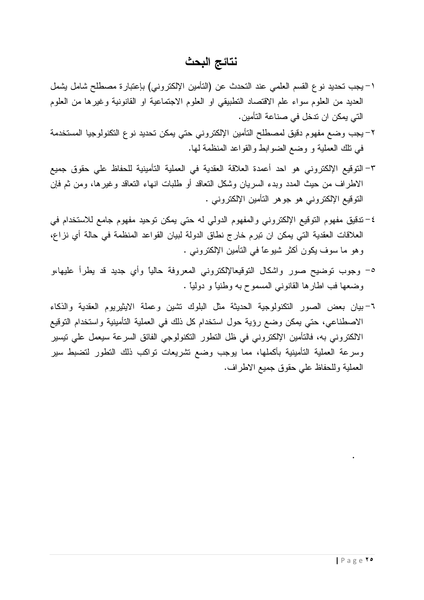# نتائج البحث

- ١–بجب تحديد نوع القسم العلمي عند التحدث عن (التأمين الإلكتروني) بإعتبارة مصطلح شامل يشمل العديد من العلوم سواء علم الاقتصاد التطبيقي او العلوم الاجتماعية او القانونية وغيرها من العلوم التي يمكن ان تدخل في صناعة التأمين.
- ٢–يجب وضع مفهوم دقيق لمصطلح التأمين الإلكتروني حتي يمكن تحديد نوع التكنولوجيا المستخدمة في نلك العملية و وضع الضوابط والقواعد المنظمة لها.
- ٣- التوقيع الإلكتروني هو احد أعمدة العلاقة العقدية في العملية التأمينية للحفاظ على حقوق جميع الاطراف من حيث المدد وبدء السريان وشكل النعاقد أو طلبات انهاء النعاقد وغيرها، ومن ثم فإن النوقيع الإلكتروني هو جوهر النامين الإلكتروني .
- ٤–تنقيق مفهوم التوقيع الإلكتروني والمفهوم الدولي له حتى يمكن توحيد مفهوم جامع للاستخدام في العلاقات العقدية التي يمكن ان نبرم خارج نطاق الدولة لبيان القواعد المنظمة في حالة أي نزاع، وهو ما سوف يكون أكثر شيوعًا في النَّامين الإلكتروني .
- ٥– وجوب نوضيح صور واشكال النوقيعالإلكتروني المعروفة حالياً وأي جديد قد يطرأ عليها،و وضعها فب اطارها القانوني المسموح به وطنياً و دولياً .
- ٦-بيان بعض الصور النكنولوجية الحديثة مثل البلوك نشين وعملة الايثيريوم العقدية والذكاء الاصطناعي، حتى يمكن وضع رؤية حول استخدام كل ذلك في العملية التأمينية واستخدام التوقيع الالكتروني به، فالتأمين الإلكتروني في ظل النطور النكنولوجي الفائق السرعة سيعمل على نيسير وسرعة العملية التأمينية بأكملها، مما يوجب وضع نشريعات نواكب ذلك التطور لتضبط سير العملية وللحفاظ على حقوق جميع الاطراف.